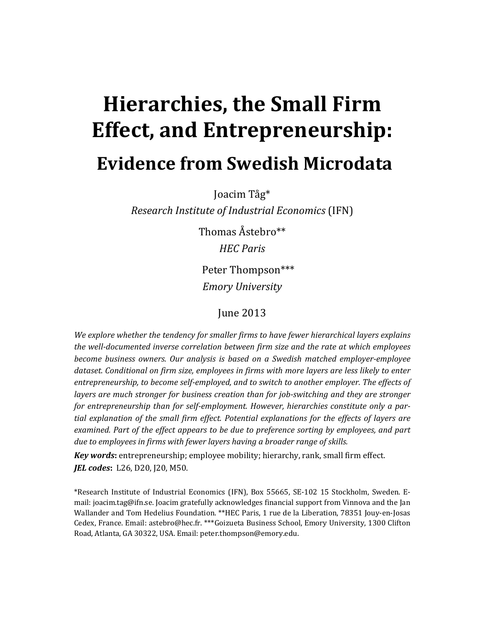# **Hierarchies, the Small Firm Effect, and Entrepreneurship: Evidence from Swedish Microdata**

Joacim Tåg\* 

*Research Institute of Industrial Economics* (IFN) 

Thomas Åstebro\*\* *HEC Paris* 

Peter Thompson\*\*\* *Emory University*

# June 2013

*We explore whether the tendency for smaller firms to have fewer hierarchical layers explains the well‐documented inverse correlation between firm size and the rate at which employees become business owners. Our analysis is based on a Swedish matched employer‐employee dataset. Conditional on firm size, employees in firms with more layers are less likely to enter entrepreneurship, to become self‐employed, and to switch to another employer. The effects of layers are much stronger for business creation than for job‐switching and they are stronger for entrepreneurship than for self‐employment. However, hierarchies constitute only a par‐ tial explanation of the small firm effect. Potential explanations for the effects of layers are examined. Part of the effect appears to be due to preference sorting by employees, and part due to employees in firms with fewer layers having a broader range of skills.*

*Key* words: entrepreneurship; employee mobility; hierarchy, rank, small firm effect. *JEL codes*: L26, D20, J20, M50.

\*Research Institute of Industrial Economics (IFN), Box 55665, SE-102 15 Stockholm, Sweden. Email: joacim.tag@ifn.se. Joacim gratefully acknowledges financial support from Vinnova and the Jan Wallander and Tom Hedelius Foundation. \*\*HEC Paris, 1 rue de la Liberation, 78351 Jouy-en-Josas Cedex, France. Email: astebro@hec.fr. \*\*\*Goizueta Business School, Emory University, 1300 Clifton Road, Atlanta, GA 30322, USA. Email: peter.thompson@emory.edu.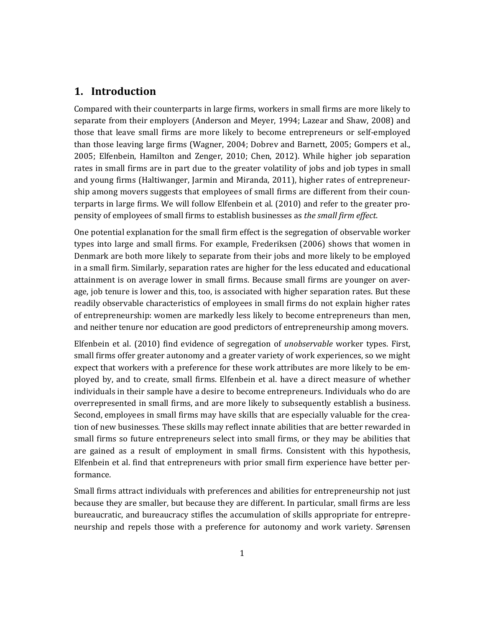## **1. Introduction**

Compared with their counterparts in large firms, workers in small firms are more likely to separate from their employers (Anderson and Meyer, 1994; Lazear and Shaw, 2008) and those that leave small firms are more likely to become entrepreneurs or self-employed than those leaving large firms (Wagner, 2004; Dobrev and Barnett, 2005; Gompers et al., 2005; Elfenbein, Hamilton and Zenger, 2010; Chen, 2012). While higher job separation rates in small firms are in part due to the greater volatility of jobs and job types in small and young firms (Haltiwanger, Jarmin and Miranda, 2011), higher rates of entrepreneurship among movers suggests that employees of small firms are different from their counterparts in large firms. We will follow Elfenbein et al. (2010) and refer to the greater propensity of employees of small firms to establish businesses as *the small firm effect*. 

One potential explanation for the small firm effect is the segregation of observable worker types into large and small firms. For example, Frederiksen (2006) shows that women in Denmark are both more likely to separate from their jobs and more likely to be employed in a small firm. Similarly, separation rates are higher for the less educated and educational attainment is on average lower in small firms. Because small firms are younger on average, job tenure is lower and this, too, is associated with higher separation rates. But these readily observable characteristics of employees in small firms do not explain higher rates of entrepreneurship: women are markedly less likely to become entrepreneurs than men, and neither tenure nor education are good predictors of entrepreneurship among movers.

Elfenbein et al. (2010) find evidence of segregation of *unobservable* worker types. First, small firms offer greater autonomy and a greater variety of work experiences, so we might expect that workers with a preference for these work attributes are more likely to be employed by, and to create, small firms. Elfenbein et al. have a direct measure of whether individuals in their sample have a desire to become entrepreneurs. Individuals who do are overrepresented in small firms, and are more likely to subsequently establish a business. Second, employees in small firms may have skills that are especially valuable for the creation of new businesses. These skills may reflect innate abilities that are better rewarded in small firms so future entrepreneurs select into small firms, or they may be abilities that are gained as a result of employment in small firms. Consistent with this hypothesis, Elfenbein et al. find that entrepreneurs with prior small firm experience have better performance. 

Small firms attract individuals with preferences and abilities for entrepreneurship not just because they are smaller, but because they are different. In particular, small firms are less bureaucratic, and bureaucracy stifles the accumulation of skills appropriate for entrepreneurship and repels those with a preference for autonomy and work variety. Sørensen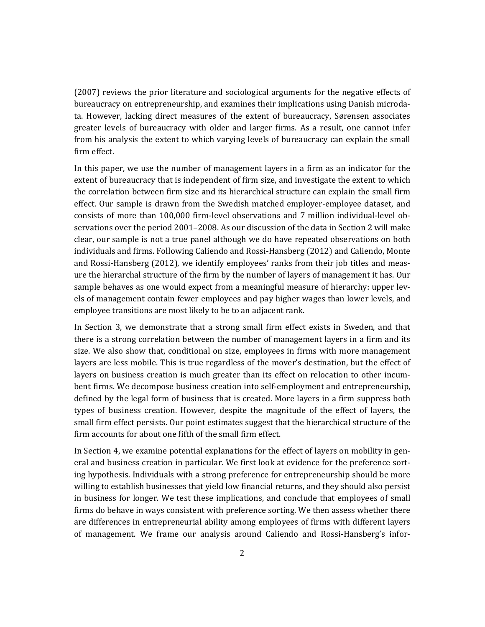(2007) reviews the prior literature and sociological arguments for the negative effects of bureaucracy on entrepreneurship, and examines their implications using Danish microdata. However, lacking direct measures of the extent of bureaucracy, Sørensen associates greater levels of bureaucracy with older and larger firms. As a result, one cannot infer from his analysis the extent to which varying levels of bureaucracy can explain the small firm effect.

In this paper, we use the number of management layers in a firm as an indicator for the extent of bureaucracy that is independent of firm size, and investigate the extent to which the correlation between firm size and its hierarchical structure can explain the small firm effect. Our sample is drawn from the Swedish matched employer-employee dataset, and consists of more than 100,000 firm-level observations and 7 million individual-level observations over the period 2001–2008. As our discussion of the data in Section 2 will make clear, our sample is not a true panel although we do have repeated observations on both individuals and firms. Following Caliendo and Rossi-Hansberg (2012) and Caliendo, Monte and Rossi-Hansberg  $(2012)$ , we identify employees' ranks from their job titles and measure the hierarchal structure of the firm by the number of layers of management it has. Our sample behaves as one would expect from a meaningful measure of hierarchy: upper levels of management contain fewer employees and pay higher wages than lower levels, and employee transitions are most likely to be to an adjacent rank.

In Section 3, we demonstrate that a strong small firm effect exists in Sweden, and that there is a strong correlation between the number of management layers in a firm and its size. We also show that, conditional on size, employees in firms with more management layers are less mobile. This is true regardless of the mover's destination, but the effect of layers on business creation is much greater than its effect on relocation to other incumbent firms. We decompose business creation into self-employment and entrepreneurship, defined by the legal form of business that is created. More layers in a firm suppress both types of business creation. However, despite the magnitude of the effect of layers, the small firm effect persists. Our point estimates suggest that the hierarchical structure of the firm accounts for about one fifth of the small firm effect.

In Section 4, we examine potential explanations for the effect of layers on mobility in general and business creation in particular. We first look at evidence for the preference sorting hypothesis. Individuals with a strong preference for entrepreneurship should be more willing to establish businesses that yield low financial returns, and they should also persist in business for longer. We test these implications, and conclude that employees of small firms do behave in ways consistent with preference sorting. We then assess whether there are differences in entrepreneurial ability among employees of firms with different layers of management. We frame our analysis around Caliendo and Rossi-Hansberg's infor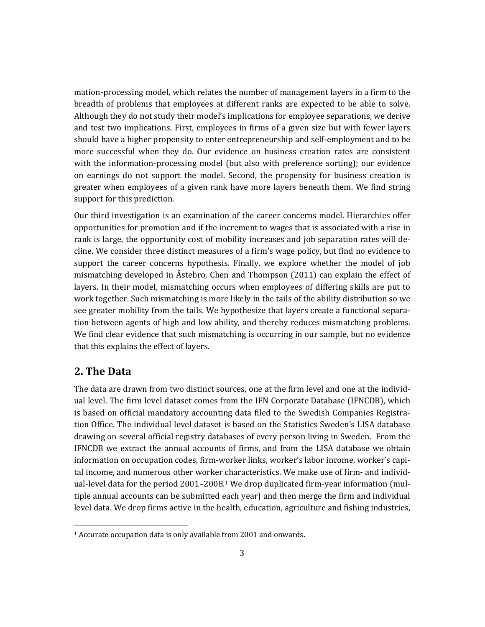mation-processing model, which relates the number of management layers in a firm to the breadth of problems that employees at different ranks are expected to be able to solve. Although they do not study their model's implications for employee separations, we derive and test two implications. First, employees in firms of a given size but with fewer layers should have a higher propensity to enter entrepreneurship and self-employment and to be more successful when they do. Our evidence on business creation rates are consistent with the information-processing model (but also with preference sorting); our evidence on earnings do not support the model. Second, the propensity for business creation is greater when employees of a given rank have more layers beneath them. We find string support for this prediction.

Our third investigation is an examination of the career concerns model. Hierarchies offer opportunities for promotion and if the increment to wages that is associated with a rise in rank is large, the opportunity cost of mobility increases and job separation rates will decline. We consider three distinct measures of a firm's wage policy, but find no evidence to support the career concerns hypothesis. Finally, we explore whether the model of job mismatching developed in Åstebro, Chen and Thompson  $(2011)$  can explain the effect of layers. In their model, mismatching occurs when employees of differing skills are put to work together. Such mismatching is more likely in the tails of the ability distribution so we see greater mobility from the tails. We hypothesize that layers create a functional separation between agents of high and low ability, and thereby reduces mismatching problems. We find clear evidence that such mismatching is occurring in our sample, but no evidence that this explains the effect of layers.

## **2. The Data**

The data are drawn from two distinct sources, one at the firm level and one at the individual level. The firm level dataset comes from the IFN Corporate Database (IFNCDB), which is based on official mandatory accounting data filed to the Swedish Companies Registration Office. The individual level dataset is based on the Statistics Sweden's LISA database drawing on several official registry databases of every person living in Sweden. From the IFNCDB we extract the annual accounts of firms, and from the LISA database we obtain information on occupation codes, firm-worker links, worker's labor income, worker's capital income, and numerous other worker characteristics. We make use of firm- and individual-level data for the period  $2001-2008.1$  We drop duplicated firm-year information (multiple annual accounts can be submitted each year) and then merge the firm and individual level data. We drop firms active in the health, education, agriculture and fishing industries,

<sup>&</sup>lt;sup>1</sup> Accurate occupation data is only available from 2001 and onwards.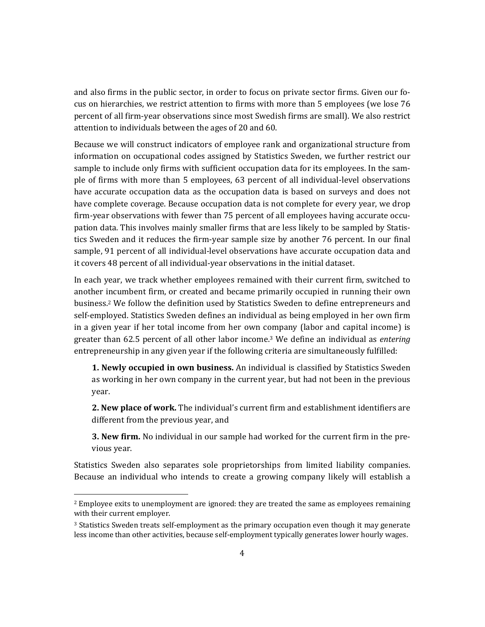and also firms in the public sector, in order to focus on private sector firms. Given our focus on hierarchies, we restrict attention to firms with more than 5 employees (we lose 76 percent of all firm-year observations since most Swedish firms are small). We also restrict attention to individuals between the ages of 20 and 60.

Because we will construct indicators of employee rank and organizational structure from information on occupational codes assigned by Statistics Sweden, we further restrict our sample to include only firms with sufficient occupation data for its employees. In the sample of firms with more than 5 employees, 63 percent of all individual-level observations have accurate occupation data as the occupation data is based on surveys and does not have complete coverage. Because occupation data is not complete for every year, we drop firm-year observations with fewer than 75 percent of all employees having accurate occupation data. This involves mainly smaller firms that are less likely to be sampled by Statistics Sweden and it reduces the firm-year sample size by another 76 percent. In our final sample, 91 percent of all individual-level observations have accurate occupation data and it covers 48 percent of all individual-year observations in the initial dataset.

In each year, we track whether employees remained with their current firm, switched to another incumbent firm, or created and became primarily occupied in running their own business.<sup>2</sup> We follow the definition used by Statistics Sweden to define entrepreneurs and self-employed. Statistics Sweden defines an individual as being employed in her own firm in a given year if her total income from her own company (labor and capital income) is greater than 62.5 percent of all other labor income.<sup>3</sup> We define an individual as *entering* entrepreneurship in any given year if the following criteria are simultaneously fulfilled:

**1. Newly occupied in own business.** An individual is classified by Statistics Sweden as working in her own company in the current year, but had not been in the previous year. 

**2. New place of work.** The individual's current firm and establishment identifiers are different from the previous year, and

**3. New firm.** No individual in our sample had worked for the current firm in the previous year.

Statistics Sweden also separates sole proprietorships from limited liability companies. Because an individual who intends to create a growing company likely will establish a

 $<sup>2</sup>$  Employee exits to unemployment are ignored: they are treated the same as employees remaining</sup> with their current employer.

<sup>&</sup>lt;sup>3</sup> Statistics Sweden treats self-employment as the primary occupation even though it may generate less income than other activities, because self-employment typically generates lower hourly wages.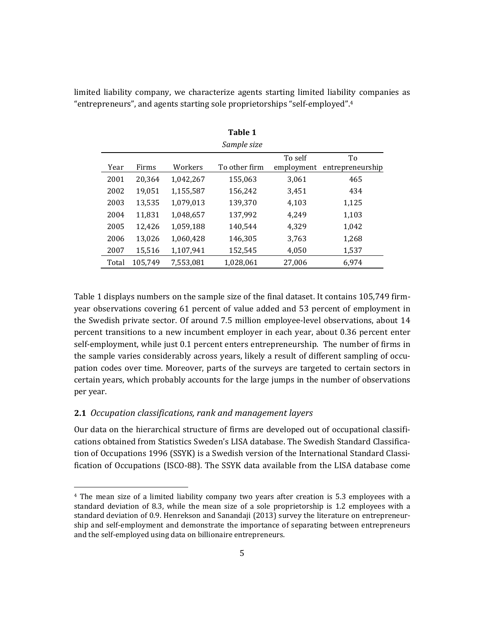|       |         |           | <b>Table 1</b><br>Sample size |                       |                        |
|-------|---------|-----------|-------------------------------|-----------------------|------------------------|
| Year  | Firms   | Workers   | To other firm                 | To self<br>employment | To<br>entrepreneurship |
| 2001  | 20,364  | 1,042,267 | 155,063                       | 3,061                 | 465                    |
| 2002  | 19,051  | 1,155,587 | 156,242                       | 3,451                 | 434                    |
| 2003  | 13,535  | 1,079,013 | 139,370                       | 4,103                 | 1,125                  |
| 2004  | 11,831  | 1,048,657 | 137,992                       | 4,249                 | 1,103                  |
| 2005  | 12,426  | 1,059,188 | 140,544                       | 4.329                 | 1,042                  |
| 2006  | 13,026  | 1,060,428 | 146,305                       | 3,763                 | 1,268                  |
| 2007  | 15,516  | 1,107,941 | 152,545                       | 4,050                 | 1,537                  |
| Total | 105,749 | 7.553.081 | 1,028,061                     | 27.006                | 6,974                  |

limited liability company, we characterize agents starting limited liability companies as "entrepreneurs", and agents starting sole proprietorships "self-employed".<sup>4</sup>

Table 1 displays numbers on the sample size of the final dataset. It contains 105,749 firmyear observations covering 61 percent of value added and 53 percent of employment in the Swedish private sector. Of around 7.5 million employee-level observations, about 14 percent transitions to a new incumbent employer in each year, about 0.36 percent enter self-employment, while just 0.1 percent enters entrepreneurship. The number of firms in the sample varies considerably across years, likely a result of different sampling of occupation codes over time. Moreover, parts of the surveys are targeted to certain sectors in certain years, which probably accounts for the large jumps in the number of observations per year.

## **2.1** *Occupation classifications, rank and management layers*

<u> 1989 - Jan Samuel Barbara, político establecido de la propia de la propia de la propia de la propia de la pro</u>

Our data on the hierarchical structure of firms are developed out of occupational classifications obtained from Statistics Sweden's LISA database. The Swedish Standard Classification of Occupations 1996 (SSYK) is a Swedish version of the International Standard Classification of Occupations (ISCO-88). The SSYK data available from the LISA database come

 $4$  The mean size of a limited liability company two years after creation is 5.3 employees with a standard deviation of 8.3, while the mean size of a sole proprietorship is 1.2 employees with a standard deviation of 0.9. Henrekson and Sanandaji (2013) survey the literature on entrepreneurship and self-employment and demonstrate the importance of separating between entrepreneurs and the self-employed using data on billionaire entrepreneurs.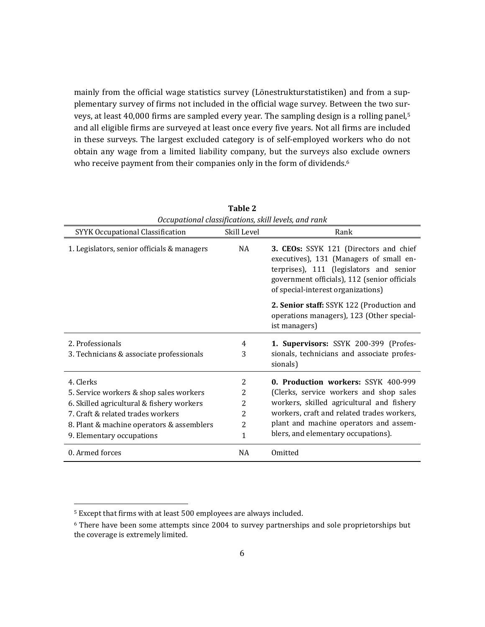mainly from the official wage statistics survey (Lönestrukturstatistiken) and from a supplementary survey of firms not included in the official wage survey. Between the two surveys, at least 40,000 firms are sampled every year. The sampling design is a rolling panel,<sup>5</sup> and all eligible firms are surveyed at least once every five years. Not all firms are included in these surveys. The largest excluded category is of self-employed workers who do not obtain any wage from a limited liability company, but the surveys also exclude owners who receive payment from their companies only in the form of dividends.<sup>6</sup>

|                                             |                | Occupational classifications, skill levels, and rank                                                                                                                                                               |
|---------------------------------------------|----------------|--------------------------------------------------------------------------------------------------------------------------------------------------------------------------------------------------------------------|
| <b>SYYK Occupational Classification</b>     | Skill Level    | Rank                                                                                                                                                                                                               |
| 1. Legislators, senior officials & managers | <b>NA</b>      | 3. CEOs: SSYK 121 (Directors and chief<br>executives), 131 (Managers of small en-<br>terprises), 111 (legislators and senior<br>government officials), 112 (senior officials<br>of special-interest organizations) |
|                                             |                | 2. Senior staff: SSYK 122 (Production and<br>operations managers), 123 (Other special-<br>ist managers)                                                                                                            |
| 2. Professionals                            | 4              | 1. Supervisors: SSYK 200-399 (Profes-                                                                                                                                                                              |
| 3. Technicians & associate professionals    | 3              | sionals, technicians and associate profes-<br>sionals)                                                                                                                                                             |
| 4. Clerks                                   | 2              | 0. Production workers: SSYK 400-999                                                                                                                                                                                |
| 5. Service workers & shop sales workers     | 2              | (Clerks, service workers and shop sales                                                                                                                                                                            |
| 6. Skilled agricultural & fishery workers   | 2              | workers, skilled agricultural and fishery                                                                                                                                                                          |
| 7. Craft & related trades workers           | 2              | workers, craft and related trades workers,                                                                                                                                                                         |
| 8. Plant & machine operators & assemblers   | $\overline{2}$ | plant and machine operators and assem-                                                                                                                                                                             |
| 9. Elementary occupations                   | $\mathbf{1}$   | blers, and elementary occupations).                                                                                                                                                                                |
| 0. Armed forces                             | <b>NA</b>      | Omitted                                                                                                                                                                                                            |

**Table 2**

<sup>&</sup>lt;sup>5</sup> Except that firms with at least 500 employees are always included.

 $6$  There have been some attempts since 2004 to survey partnerships and sole proprietorships but the coverage is extremely limited.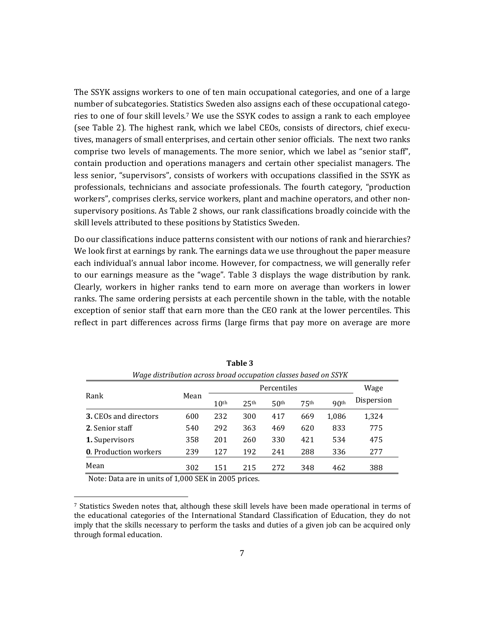The SSYK assigns workers to one of ten main occupational categories, and one of a large number of subcategories. Statistics Sweden also assigns each of these occupational categories to one of four skill levels.<sup>7</sup> We use the SSYK codes to assign a rank to each employee (see Table 2). The highest rank, which we label CEOs, consists of directors, chief executives, managers of small enterprises, and certain other senior officials. The next two ranks comprise two levels of managements. The more senior, which we label as "senior staff", contain production and operations managers and certain other specialist managers. The less senior, "supervisors", consists of workers with occupations classified in the SSYK as professionals, technicians and associate professionals. The fourth category, "production workers", comprises clerks, service workers, plant and machine operators, and other nonsupervisory positions. As Table 2 shows, our rank classifications broadly coincide with the skill levels attributed to these positions by Statistics Sweden.

Do our classifications induce patterns consistent with our notions of rank and hierarchies? We look first at earnings by rank. The earnings data we use throughout the paper measure each individual's annual labor income. However, for compactness, we will generally refer to our earnings measure as the "wage". Table 3 displays the wage distribution by rank. Clearly, workers in higher ranks tend to earn more on average than workers in lower ranks. The same ordering persists at each percentile shown in the table, with the notable exception of senior staff that earn more than the CEO rank at the lower percentiles. This reflect in part differences across firms (large firms that pay more on average are more

|                              |      |                  |                  | Percentiles      |                  |                  | Wage       |
|------------------------------|------|------------------|------------------|------------------|------------------|------------------|------------|
| Rank                         | Mean | 10 <sup>th</sup> | 25 <sup>th</sup> | 50 <sup>th</sup> | 75 <sup>th</sup> | 90 <sup>th</sup> | Dispersion |
| <b>3. CEOs and directors</b> | 600  | 232              | 300              | 417              | 669              | 1,086            | 1,324      |
| 2. Senior staff              | 540  | 292              | 363              | 469              | 620              | 833              | 775        |
| 1. Supervisors               | 358  | 201              | 260              | 330              | 421              | 534              | 475        |
| <b>0.</b> Production workers | 239  | 127              | 192              | 241              | 288              | 336              | 277        |
| Mean                         | 302  | 151              | 215              | 272              | 348              | 462              | 388        |

**Table 3** *Wage distribution across broad occupation classes based on SSYK*

Note: Data are in units of 1,000 SEK in 2005 prices.

<sup>&</sup>lt;sup>7</sup> Statistics Sweden notes that, although these skill levels have been made operational in terms of the educational categories of the International Standard Classification of Education, they do not imply that the skills necessary to perform the tasks and duties of a given job can be acquired only through formal education.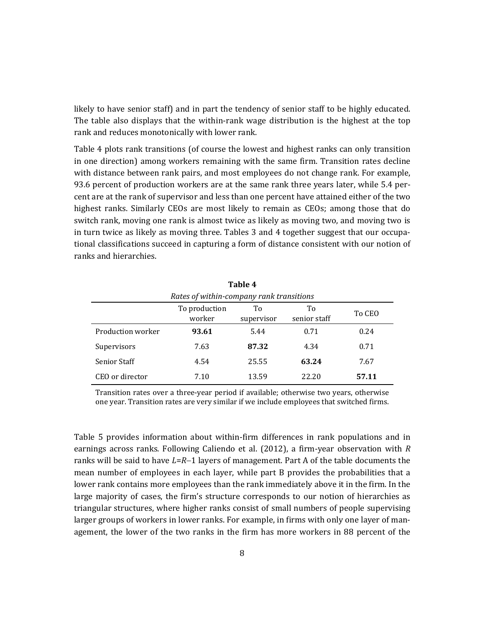likely to have senior staff) and in part the tendency of senior staff to be highly educated. The table also displays that the within-rank wage distribution is the highest at the top rank and reduces monotonically with lower rank.

Table 4 plots rank transitions (of course the lowest and highest ranks can only transition in one direction) among workers remaining with the same firm. Transition rates decline with distance between rank pairs, and most employees do not change rank. For example, 93.6 percent of production workers are at the same rank three years later, while 5.4 percent are at the rank of supervisor and less than one percent have attained either of the two highest ranks. Similarly CEOs are most likely to remain as CEOs; among those that do switch rank, moving one rank is almost twice as likely as moving two, and moving two is in turn twice as likely as moving three. Tables 3 and 4 together suggest that our occupational classifications succeed in capturing a form of distance consistent with our notion of ranks and hierarchies.

| Table 4                                  |                         |                  |                    |        |  |  |  |  |
|------------------------------------------|-------------------------|------------------|--------------------|--------|--|--|--|--|
| Rates of within-company rank transitions |                         |                  |                    |        |  |  |  |  |
|                                          | To production<br>worker | Тo<br>supervisor | Tо<br>senior staff | To CEO |  |  |  |  |
| Production worker                        | 93.61                   | 5.44             | 0.71               | 0.24   |  |  |  |  |
| Supervisors                              | 7.63                    | 87.32            | 4.34               | 0.71   |  |  |  |  |
| <b>Senior Staff</b>                      | 4.54                    | 25.55            | 63.24              | 7.67   |  |  |  |  |
| CEO or director                          | 7.10                    | 13.59            | 22.20              | 57.11  |  |  |  |  |

Transition rates over a three-year period if available; otherwise two years, otherwise one year. Transition rates are very similar if we include employees that switched firms.

Table 5 provides information about within-firm differences in rank populations and in earnings across ranks. Following Caliendo et al.  $(2012)$ , a firm-year observation with *R* ranks will be said to have  $L=R-1$  layers of management. Part A of the table documents the mean number of employees in each layer, while part B provides the probabilities that a lower rank contains more employees than the rank immediately above it in the firm. In the large majority of cases, the firm's structure corresponds to our notion of hierarchies as triangular structures, where higher ranks consist of small numbers of people supervising larger groups of workers in lower ranks. For example, in firms with only one layer of management, the lower of the two ranks in the firm has more workers in 88 percent of the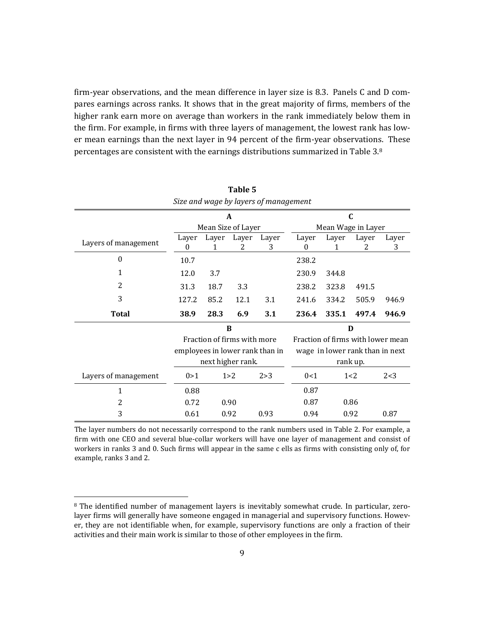firm-year observations, and the mean difference in layer size is 8.3. Panels C and D compares earnings across ranks. It shows that in the great majority of firms, members of the higher rank earn more on average than workers in the rank immediately below them in the firm. For example, in firms with three layers of management, the lowest rank has lower mean earnings than the next layer in 94 percent of the firm-year observations. These percentages are consistent with the earnings distributions summarized in Table 3.8

|                      |                    |            |                             | Size and wage by layers of management |                    |            |                                 |                                   |  |
|----------------------|--------------------|------------|-----------------------------|---------------------------------------|--------------------|------------|---------------------------------|-----------------------------------|--|
|                      |                    | A          |                             |                                       |                    | C          |                                 |                                   |  |
|                      | Mean Size of Layer |            |                             |                                       | Mean Wage in Layer |            |                                 |                                   |  |
| Layers of management | Layer<br>0         | Layer<br>1 | Layer<br>2                  | Layer<br>3                            | Layer<br>$\Omega$  | Layer<br>1 | Layer<br>2                      | Layer<br>3                        |  |
| $\theta$             | 10.7               |            |                             |                                       | 238.2              |            |                                 |                                   |  |
| 1                    | 12.0               | 3.7        |                             |                                       | 230.9              | 344.8      |                                 |                                   |  |
| $\overline{2}$       | 31.3               | 18.7       | 3.3                         |                                       | 238.2              | 323.8      | 491.5                           |                                   |  |
| 3                    | 127.2              | 85.2       | 12.1                        | 3.1                                   | 241.6              | 334.2      | 505.9                           | 946.9                             |  |
| <b>Total</b>         | 38.9               | 28.3       | 6.9                         | 3.1                                   | 236.4              | 335.1      | 497.4                           | 946.9                             |  |
|                      |                    |            | B                           |                                       |                    |            | D                               |                                   |  |
|                      |                    |            | Fraction of firms with more |                                       |                    |            |                                 | Fraction of firms with lower mean |  |
|                      |                    |            |                             | employees in lower rank than in       |                    |            | wage in lower rank than in next |                                   |  |
|                      |                    |            | next higher rank.           |                                       |                    |            | rank up.                        |                                   |  |
| Layers of management | 0 > 1              |            | 1 > 2                       | 2 > 3                                 | 0<1                |            | 1<2                             | 2 < 3                             |  |
| 1                    | 0.88               |            |                             |                                       | 0.87               |            |                                 |                                   |  |
| 2                    | 0.72               |            | 0.90                        |                                       | 0.87               |            | 0.86                            |                                   |  |
| 3                    | 0.61               |            | 0.92                        | 0.93                                  | 0.94               |            | 0.92                            | 0.87                              |  |

**Table 5** *Size and wage by layers of management*

The layer numbers do not necessarily correspond to the rank numbers used in Table 2. For example, a firm with one CEO and several blue-collar workers will have one layer of management and consist of workers in ranks 3 and 0. Such firms will appear in the same c ells as firms with consisting only of, for example, ranks 3 and 2.

 $8$  The identified number of management layers is inevitably somewhat crude. In particular, zerolayer firms will generally have someone engaged in managerial and supervisory functions. However, they are not identifiable when, for example, supervisory functions are only a fraction of their activities and their main work is similar to those of other employees in the firm.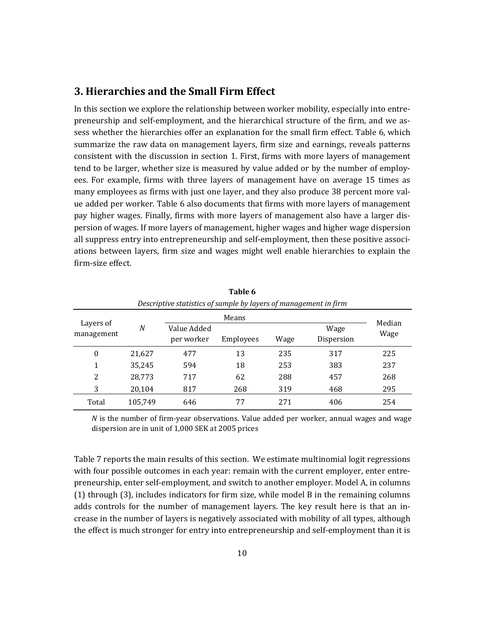## **3. Hierarchies and the Small Firm Effect**

In this section we explore the relationship between worker mobility, especially into entrepreneurship and self-employment, and the hierarchical structure of the firm, and we assess whether the hierarchies offer an explanation for the small firm effect. Table 6, which summarize the raw data on management layers, firm size and earnings, reveals patterns consistent with the discussion in section 1. First, firms with more layers of management tend to be larger, whether size is measured by value added or by the number of employees. For example, firms with three layers of management have on average 15 times as many employees as firms with just one layer, and they also produce 38 percent more value added per worker. Table 6 also documents that firms with more layers of management pay higher wages. Finally, firms with more layers of management also have a larger dispersion of wages. If more layers of management, higher wages and higher wage dispersion all suppress entry into entrepreneurship and self-employment, then these positive associations between layers, firm size and wages might well enable hierarchies to explain the firm‐size effect. 

|                         |                  | Descriptive statistics of sample by layers of management in firm |       |      |                    |        |  |
|-------------------------|------------------|------------------------------------------------------------------|-------|------|--------------------|--------|--|
|                         |                  |                                                                  | Means |      |                    | Median |  |
| Layers of<br>management | $\boldsymbol{N}$ | Value Added<br>per worker<br>Employees                           |       | Wage | Wage<br>Dispersion | Wage   |  |
| $\mathbf{0}$            | 21,627           | 477                                                              | 13    | 235  | 317                | 225    |  |
| 1                       | 35,245           | 594                                                              | 18    | 253  | 383                | 237    |  |
| 2                       | 28,773           | 717                                                              | 62    | 288  | 457                | 268    |  |
| 3                       | 20,104           | 817                                                              | 268   | 319  | 468                | 295    |  |
| Total                   | 105,749          | 646                                                              | 77    | 271  | 406                | 254    |  |

**Table 6** *Descriptive statistics of sample by layers of management in firm*

*N* is the number of firm-year observations. Value added per worker, annual wages and wage dispersion are in unit of 1,000 SEK at 2005 prices

Table 7 reports the main results of this section. We estimate multinomial logit regressions with four possible outcomes in each year: remain with the current employer, enter entrepreneurship, enter self-employment, and switch to another employer. Model A, in columns  $(1)$  through  $(3)$ , includes indicators for firm size, while model B in the remaining columns adds controls for the number of management layers. The key result here is that an increase in the number of layers is negatively associated with mobility of all types, although the effect is much stronger for entry into entrepreneurship and self-employment than it is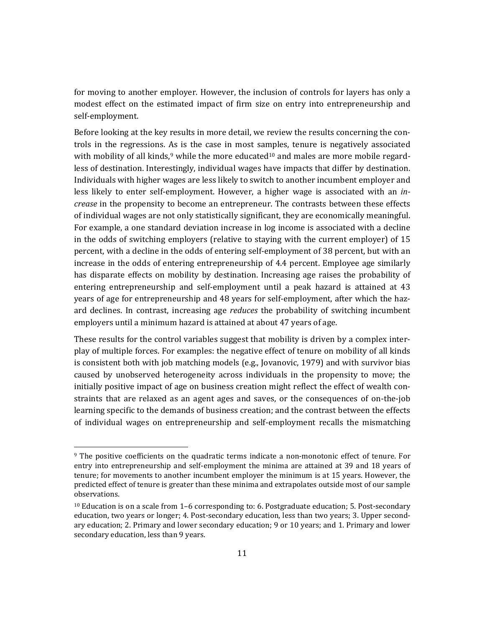for moving to another employer. However, the inclusion of controls for layers has only a modest effect on the estimated impact of firm size on entry into entrepreneurship and self‐employment. 

Before looking at the key results in more detail, we review the results concerning the controls in the regressions. As is the case in most samples, tenure is negatively associated with mobility of all kinds,<sup>9</sup> while the more educated<sup>10</sup> and males are more mobile regardless of destination. Interestingly, individual wages have impacts that differ by destination. Individuals with higher wages are less likely to switch to another incumbent employer and less likely to enter self-employment. However, a higher wage is associated with an *increase* in the propensity to become an entrepreneur. The contrasts between these effects of individual wages are not only statistically significant, they are economically meaningful. For example, a one standard deviation increase in log income is associated with a decline in the odds of switching employers (relative to staying with the current employer) of 15 percent, with a decline in the odds of entering self-employment of 38 percent, but with an increase in the odds of entering entrepreneurship of  $4.4$  percent. Employee age similarly has disparate effects on mobility by destination. Increasing age raises the probability of entering entrepreneurship and self-employment until a peak hazard is attained at 43 years of age for entrepreneurship and 48 years for self-employment, after which the hazard declines. In contrast, increasing age *reduces* the probability of switching incumbent employers until a minimum hazard is attained at about 47 years of age.

These results for the control variables suggest that mobility is driven by a complex interplay of multiple forces. For examples: the negative effect of tenure on mobility of all kinds is consistent both with job matching models  $(e.g., Jovanovic, 1979)$  and with survivor bias caused by unobserved heterogeneity across individuals in the propensity to move; the initially positive impact of age on business creation might reflect the effect of wealth constraints that are relaxed as an agent ages and saves, or the consequences of on-the-job learning specific to the demands of business creation; and the contrast between the effects of individual wages on entrepreneurship and self-employment recalls the mismatching

<sup>&</sup>lt;sup>9</sup> The positive coefficients on the quadratic terms indicate a non-monotonic effect of tenure. For entry into entrepreneurship and self-employment the minima are attained at 39 and 18 years of tenure; for movements to another incumbent employer the minimum is at 15 years. However, the predicted effect of tenure is greater than these minima and extrapolates outside most of our sample observations. 

 $10$  Education is on a scale from 1–6 corresponding to: 6. Postgraduate education; 5. Post-secondary education, two years or longer; 4. Post-secondary education, less than two years; 3. Upper secondary education; 2. Primary and lower secondary education; 9 or 10 years; and 1. Primary and lower secondary education, less than 9 years.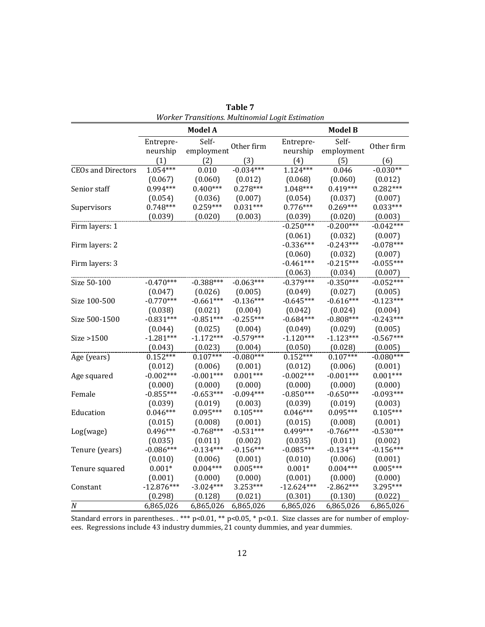|                           |                       | <b>Model A</b>                 |             |                       | <b>Model B</b>      |             |
|---------------------------|-----------------------|--------------------------------|-------------|-----------------------|---------------------|-------------|
|                           | Entrepre-<br>neurship | Self-<br>employment Other firm |             | Entrepre-<br>neurship | Self-<br>employment | Other firm  |
|                           | (1)                   | (2)                            | (3)         | (4)                   | (5)                 | (6)         |
| <b>CEOs and Directors</b> | $1.054***$            | 0.010                          | $-0.034***$ | $1.124***$            | 0.046               | $-0.030**$  |
|                           | (0.067)               | (0.060)                        | (0.012)     | (0.068)               | (0.060)             | (0.012)     |
| Senior staff              | 0.994***              | $0.400***$                     | $0.278***$  | $1.048***$            | $0.419***$          | $0.282***$  |
|                           | (0.054)               | (0.036)                        | (0.007)     | (0.054)               | (0.037)             | (0.007)     |
| Supervisors               | $0.748***$            | $0.259***$                     | $0.031***$  | $0.776***$            | $0.269***$          | $0.033***$  |
|                           | (0.039)               | (0.020)                        | (0.003)     | (0.039)               | (0.020)             | (0.003)     |
| Firm layers: 1            |                       |                                |             | $-0.250***$           | $-0.200***$         | $-0.042***$ |
|                           |                       |                                |             | (0.061)               | (0.032)             | (0.007)     |
| Firm layers: 2            |                       |                                |             | $-0.336***$           | $-0.243***$         | $-0.078***$ |
|                           |                       |                                |             | (0.060)               | (0.032)             | (0.007)     |
| Firm layers: 3            |                       |                                |             | $-0.461***$           | $-0.215***$         | $-0.055***$ |
|                           |                       |                                |             | (0.063)               | (0.034)             | (0.007)     |
| Size 50-100               | $-0.470***$           | $-0.388***$                    | $-0.063***$ | $-0.379***$           | $-0.350***$         | $-0.052***$ |
|                           | (0.047)               | (0.026)                        | (0.005)     | (0.049)               | (0.027)             | (0.005)     |
| Size 100-500              | $-0.770***$           | $-0.661***$                    | $-0.136***$ | $-0.645***$           | $-0.616***$         | $-0.123***$ |
|                           | (0.038)               | (0.021)                        | (0.004)     | (0.042)               | (0.024)             | (0.004)     |
| Size 500-1500             | $-0.831***$           | $-0.851***$                    | $-0.255***$ | $-0.684***$           | $-0.808***$         | $-0.243***$ |
|                           | (0.044)               | (0.025)                        | (0.004)     | (0.049)               | (0.029)             | (0.005)     |
| Size >1500                | $-1.281***$           | $-1.172***$                    | $-0.579***$ | $-1.120***$           | $-1.123***$         | $-0.567***$ |
|                           | (0.043)               | (0.023)                        | (0.004)     | (0.050)               | (0.028)             | (0.005)     |
| Age (years)               | $0.152***$            | $0.107***$                     | $-0.080***$ | $0.152***$            | $0.107***$          | $-0.080***$ |
|                           | (0.012)               | (0.006)                        | (0.001)     | (0.012)               | (0.006)             | (0.001)     |
| Age squared               | $-0.002***$           | $-0.001***$                    | $0.001***$  | $-0.002***$           | $-0.001***$         | $0.001***$  |
|                           | (0.000)               | (0.000)                        | (0.000)     | (0.000)               | (0.000)             | (0.000)     |
| Female                    | $-0.855***$           | $-0.653***$                    | $-0.094***$ | $-0.850***$           | $-0.650***$         | $-0.093***$ |
|                           | (0.039)               | (0.019)                        | (0.003)     | (0.039)               | (0.019)             | (0.003)     |
| Education                 | $0.046***$            | $0.095***$                     | $0.105***$  | $0.046***$            | $0.095***$          | $0.105***$  |
|                           | (0.015)               | (0.008)                        | (0.001)     | (0.015)               | (0.008)             | (0.001)     |
| Log(wage)                 | $0.496***$            | $-0.768***$                    | $-0.531***$ | $0.499***$            | $-0.766***$         | $-0.530***$ |
|                           | (0.035)               | (0.011)                        | (0.002)     | (0.035)               | (0.011)             | (0.002)     |
| Tenure (years)            | $-0.086***$           | $-0.134***$                    | $-0.156***$ | $-0.085***$           | $-0.134***$         | $-0.156***$ |
|                           | (0.010)               | (0.006)                        | (0.001)     | (0.010)               | (0.006)             | (0.001)     |
| Tenure squared            | $0.001*$              | $0.004***$                     | $0.005***$  | $0.001*$              | $0.004***$          | $0.005***$  |
|                           | (0.001)               | (0.000)                        | (0.000)     | (0.001)               | (0.000)             | (0.000)     |
| Constant                  | $-12.876***$          | $-3.024***$                    | 3.253***    | $-12.624***$          | $-2.862***$         | 3.295***    |
|                           | (0.298)               | (0.128)                        | (0.021)     | (0.301)               | (0.130)             | (0.022)     |
| $\cal N$                  | 6,865,026             | 6,865,026                      | 6,865,026   | 6,865,026             | 6,865,026           | 6,865,026   |

**Table 7** *Worker Transitions. Multinomial Logit Estimation*

Standard errors in parentheses. . \*\*\*  $p<0.01$ , \*\*  $p<0.05$ , \*  $p<0.1$ . Size classes are for number of employees. Regressions include 43 industry dummies, 21 county dummies, and year dummies.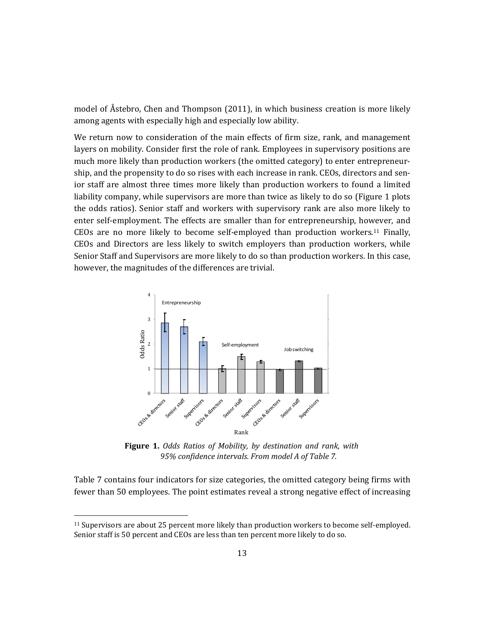model of Åstebro, Chen and Thompson (2011), in which business creation is more likely among agents with especially high and especially low ability.

We return now to consideration of the main effects of firm size, rank, and management layers on mobility. Consider first the role of rank. Employees in supervisory positions are much more likely than production workers (the omitted category) to enter entrepreneurship, and the propensity to do so rises with each increase in rank. CEOs, directors and senior staff are almost three times more likely than production workers to found a limited liability company, while supervisors are more than twice as likely to do so (Figure 1 plots the odds ratios). Senior staff and workers with supervisory rank are also more likely to enter self-employment. The effects are smaller than for entrepreneurship, however, and CEOs are no more likely to become self-employed than production workers.<sup>11</sup> Finally, CEOs and Directors are less likely to switch employers than production workers, while Senior Staff and Supervisors are more likely to do so than production workers. In this case, however, the magnitudes of the differences are trivial.



**Figure 1.** *Odds Ratios of Mobility, by destination and rank, with 95% confidence intervals. From model A of Table 7.*

Table 7 contains four indicators for size categories, the omitted category being firms with fewer than 50 employees. The point estimates reveal a strong negative effect of increasing

<sup>&</sup>lt;sup>11</sup> Supervisors are about 25 percent more likely than production workers to become self-employed. Senior staff is 50 percent and CEOs are less than ten percent more likely to do so.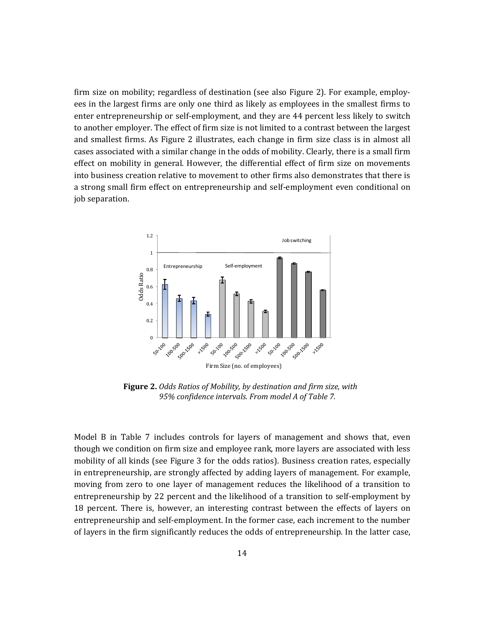firm size on mobility; regardless of destination (see also Figure 2). For example, employees in the largest firms are only one third as likely as employees in the smallest firms to enter entrepreneurship or self-employment, and they are 44 percent less likely to switch to another employer. The effect of firm size is not limited to a contrast between the largest and smallest firms. As Figure 2 illustrates, each change in firm size class is in almost all cases associated with a similar change in the odds of mobility. Clearly, there is a small firm effect on mobility in general. However, the differential effect of firm size on movements into business creation relative to movement to other firms also demonstrates that there is a strong small firm effect on entrepreneurship and self-employment even conditional on job separation.



**Figure 2.** *Odds Ratios of Mobility, by destination and firm size, with 95% confidence intervals. From model A of Table 7.*

Model B in Table  $7$  includes controls for layers of management and shows that, even though we condition on firm size and employee rank, more layers are associated with less mobility of all kinds (see Figure 3 for the odds ratios). Business creation rates, especially in entrepreneurship, are strongly affected by adding layers of management. For example, moving from zero to one layer of management reduces the likelihood of a transition to entrepreneurship by 22 percent and the likelihood of a transition to self-employment by 18 percent. There is, however, an interesting contrast between the effects of layers on entrepreneurship and self-employment. In the former case, each increment to the number of layers in the firm significantly reduces the odds of entrepreneurship. In the latter case,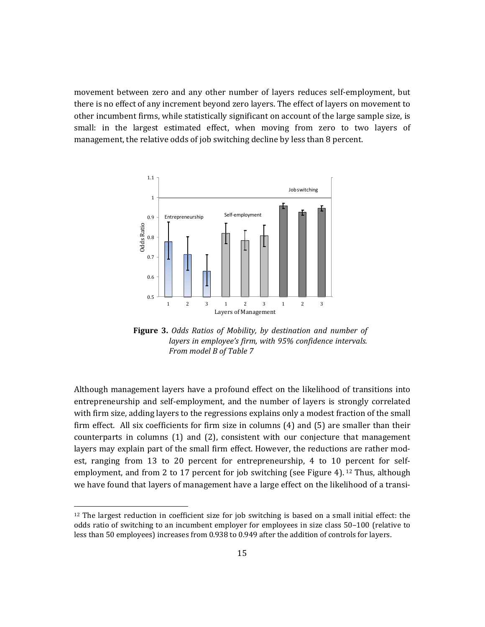movement between zero and any other number of layers reduces self-employment, but there is no effect of any increment beyond zero layers. The effect of layers on movement to other incumbent firms, while statistically significant on account of the large sample size, is small: in the largest estimated effect, when moving from zero to two layers of management, the relative odds of job switching decline by less than 8 percent.



**Figure 3.** *Odds Ratios of Mobility, by destination and number of layers in employee's firm, with 95% confidence intervals. From model B of Table 7*

Although management layers have a profound effect on the likelihood of transitions into entrepreneurship and self-employment, and the number of layers is strongly correlated with firm size, adding layers to the regressions explains only a modest fraction of the small firm effect. All six coefficients for firm size in columns  $(4)$  and  $(5)$  are smaller than their counterparts in columns  $(1)$  and  $(2)$ , consistent with our conjecture that management layers may explain part of the small firm effect. However, the reductions are rather modest, ranging from 13 to 20 percent for entrepreneurship, 4 to 10 percent for selfemployment, and from 2 to 17 percent for job switching (see Figure 4). <sup>12</sup> Thus, although we have found that layers of management have a large effect on the likelihood of a transi-

 $12$  The largest reduction in coefficient size for job switching is based on a small initial effect: the odds ratio of switching to an incumbent employer for employees in size class 50-100 (relative to less than 50 employees) increases from 0.938 to 0.949 after the addition of controls for layers.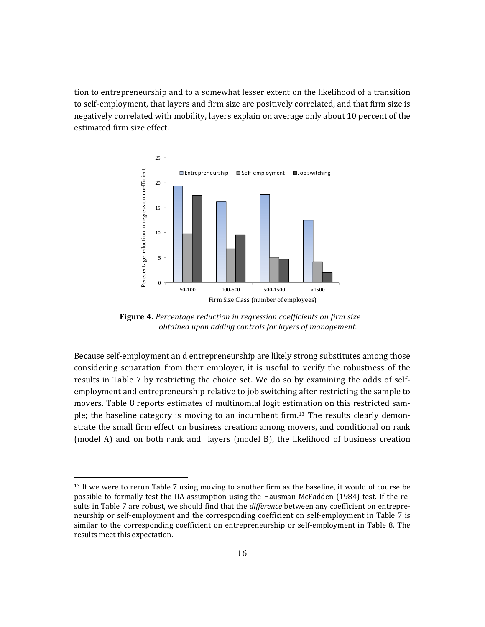tion to entrepreneurship and to a somewhat lesser extent on the likelihood of a transition to self-employment, that layers and firm size are positively correlated, and that firm size is negatively correlated with mobility, layers explain on average only about 10 percent of the estimated firm size effect.



**Figure 4.** *Percentage reduction in regression coefficients on firm size obtained upon adding controls for layers of management.*

Because self-employment an d entrepreneurship are likely strong substitutes among those considering separation from their employer, it is useful to verify the robustness of the results in Table 7 by restricting the choice set. We do so by examining the odds of selfemployment and entrepreneurship relative to job switching after restricting the sample to movers. Table 8 reports estimates of multinomial logit estimation on this restricted sample; the baseline category is moving to an incumbent firm.<sup>13</sup> The results clearly demonstrate the small firm effect on business creation: among movers, and conditional on rank (model A) and on both rank and layers (model B), the likelihood of business creation

<sup>&</sup>lt;sup>13</sup> If we were to rerun Table 7 using moving to another firm as the baseline, it would of course be possible to formally test the IIA assumption using the Hausman-McFadden (1984) test. If the results in Table 7 are robust, we should find that the *difference* between any coefficient on entrepreneurship or self-employment and the corresponding coefficient on self-employment in Table 7 is similar to the corresponding coefficient on entrepreneurship or self-employment in Table 8. The results meet this expectation.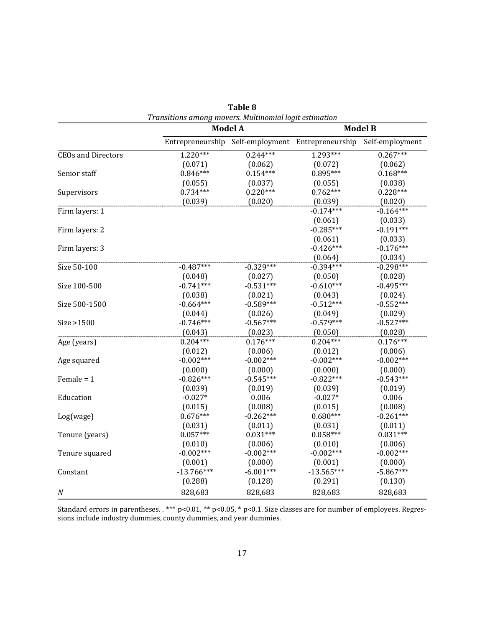|                           |              | <b>Model A</b> | <b>Model B</b>                                    |                 |  |  |
|---------------------------|--------------|----------------|---------------------------------------------------|-----------------|--|--|
|                           |              |                | Entrepreneurship Self-employment Entrepreneurship | Self-employment |  |  |
| <b>CEOs and Directors</b> | $1.220***$   | $0.244***$     | 1.293***                                          | $0.267***$      |  |  |
|                           | (0.071)      | (0.062)        | (0.072)                                           | (0.062)         |  |  |
| Senior staff              | $0.846***$   | $0.154***$     | $0.895***$                                        | $0.168***$      |  |  |
|                           | (0.055)      | (0.037)        | (0.055)                                           | (0.038)         |  |  |
| Supervisors               | $0.734***$   | $0.220***$     | $0.762***$                                        | $0.228***$      |  |  |
|                           | (0.039)      | (0.020)        | (0.039)                                           | (0.020)         |  |  |
| Firm layers: 1            |              |                | $-0.174***$                                       | $-0.164***$     |  |  |
|                           |              |                | (0.061)                                           | (0.033)         |  |  |
| Firm layers: 2            |              |                | $-0.285***$                                       | $-0.191***$     |  |  |
|                           |              |                | (0.061)                                           | (0.033)         |  |  |
| Firm layers: 3            |              |                | $-0.426***$                                       | $-0.176***$     |  |  |
|                           |              |                | (0.064)                                           | (0.034)         |  |  |
| Size 50-100               | $-0.487***$  | $-0.329***$    | $-0.394***$                                       | $-0.298***$     |  |  |
|                           | (0.048)      | (0.027)        | (0.050)                                           | (0.028)         |  |  |
| Size 100-500              | $-0.741***$  | $-0.531***$    | $-0.610***$                                       | $-0.495***$     |  |  |
|                           | (0.038)      | (0.021)        | (0.043)                                           | (0.024)         |  |  |
| Size 500-1500             | $-0.664***$  | $-0.589***$    | $-0.512***$                                       | $-0.552***$     |  |  |
|                           | (0.044)      | (0.026)        | (0.049)                                           | (0.029)         |  |  |
| Size > 1500               | $-0.746***$  | $-0.567***$    | $-0.579***$                                       | $-0.527***$     |  |  |
|                           | (0.043)      | (0.023)        | (0.050)                                           | (0.028)         |  |  |
| Age (years)               | $0.204***$   | $0.176***$     | $0.204***$                                        | $0.176***$      |  |  |
|                           | (0.012)      | (0.006)        | (0.012)                                           | (0.006)         |  |  |
| Age squared               | $-0.002***$  | $-0.002***$    | $-0.002***$                                       | $-0.002***$     |  |  |
|                           | (0.000)      | (0.000)        | (0.000)                                           | (0.000)         |  |  |
| Female = $1$              | $-0.826***$  | $-0.545***$    | $-0.822***$                                       | $-0.543***$     |  |  |
|                           | (0.039)      | (0.019)        | (0.039)                                           | (0.019)         |  |  |
| Education                 | $-0.027*$    | 0.006          | $-0.027*$                                         | 0.006           |  |  |
|                           | (0.015)      | (0.008)        | (0.015)                                           | (0.008)         |  |  |
| Log(wage)                 | $0.676***$   | $-0.262***$    | $0.680***$                                        | $-0.261***$     |  |  |
|                           | (0.031)      | (0.011)        | (0.031)                                           | (0.011)         |  |  |
| Tenure (years)            | $0.057***$   | $0.031***$     | $0.058***$                                        | $0.031***$      |  |  |
|                           | (0.010)      | (0.006)        | (0.010)                                           | (0.006)         |  |  |
| Tenure squared            | $-0.002***$  | $-0.002***$    | $-0.002***$                                       | $-0.002***$     |  |  |
|                           | (0.001)      | (0.000)        | (0.001)                                           | (0.000)         |  |  |
| Constant                  | $-13.766***$ | $-6.001***$    | $-13.565***$                                      | $-5.867***$     |  |  |
|                           | (0.288)      | (0.128)        | (0.291)                                           | (0.130)         |  |  |
| N                         | 828,683      | 828,683        | 828,683                                           | 828,683         |  |  |

**Table 8** *Transitions among movers. Multinomial logit estimation*

Standard errors in parentheses.  $***$  p<0.01,  $**$  p<0.05,  $*$  p<0.1. Size classes are for number of employees. Regressions include industry dummies, county dummies, and year dummies.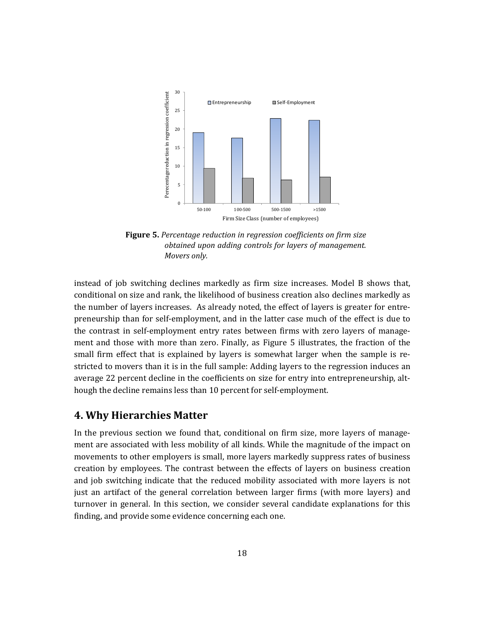

**Figure 5.** *Percentage reduction in regression coefficients on firm size obtained upon adding controls for layers of management. Movers only.*

instead of job switching declines markedly as firm size increases. Model B shows that, conditional on size and rank, the likelihood of business creation also declines markedly as the number of layers increases. As already noted, the effect of layers is greater for entrepreneurship than for self-employment, and in the latter case much of the effect is due to the contrast in self-employment entry rates between firms with zero layers of management and those with more than zero. Finally, as Figure 5 illustrates, the fraction of the small firm effect that is explained by layers is somewhat larger when the sample is restricted to movers than it is in the full sample: Adding layers to the regression induces an average 22 percent decline in the coefficients on size for entry into entrepreneurship, although the decline remains less than 10 percent for self-employment.

# **4. Why Hierarchies Matter**

In the previous section we found that, conditional on firm size, more layers of management are associated with less mobility of all kinds. While the magnitude of the impact on movements to other employers is small, more layers markedly suppress rates of business creation by employees. The contrast between the effects of layers on business creation and job switching indicate that the reduced mobility associated with more layers is not just an artifact of the general correlation between larger firms (with more layers) and turnover in general. In this section, we consider several candidate explanations for this finding, and provide some evidence concerning each one.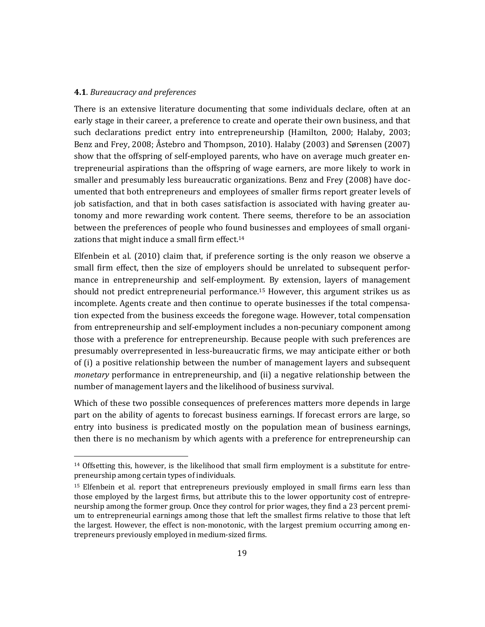#### **4.1**. *Bureaucracy and preferences*

<u> 1989 - Jan Samuel Barbara, político establecido de la propia de la propia de la propia de la propia de la pro</u>

There is an extensive literature documenting that some individuals declare, often at an early stage in their career, a preference to create and operate their own business, and that such declarations predict entry into entrepreneurship (Hamilton, 2000; Halaby, 2003; Benz and Frey, 2008; Åstebro and Thompson, 2010). Halaby (2003) and Sørensen (2007) show that the offspring of self-employed parents, who have on average much greater entrepreneurial aspirations than the offspring of wage earners, are more likely to work in smaller and presumably less bureaucratic organizations. Benz and Frey (2008) have documented that both entrepreneurs and employees of smaller firms report greater levels of job satisfaction, and that in both cases satisfaction is associated with having greater autonomy and more rewarding work content. There seems, therefore to be an association between the preferences of people who found businesses and employees of small organizations that might induce a small firm effect.<sup>14</sup>

Elfenbein et al.  $(2010)$  claim that, if preference sorting is the only reason we observe a small firm effect, then the size of employers should be unrelated to subsequent performance in entrepreneurship and self-employment. By extension, layers of management should not predict entrepreneurial performance.<sup>15</sup> However, this argument strikes us as incomplete. Agents create and then continue to operate businesses if the total compensation expected from the business exceeds the foregone wage. However, total compensation from entrepreneurship and self-employment includes a non-pecuniary component among those with a preference for entrepreneurship. Because people with such preferences are presumably overrepresented in less-bureaucratic firms, we may anticipate either or both of (i) a positive relationship between the number of management layers and subsequent *monetary* performance in entrepreneurship, and (ii) a negative relationship between the number of management layers and the likelihood of business survival.

Which of these two possible consequences of preferences matters more depends in large part on the ability of agents to forecast business earnings. If forecast errors are large, so entry into business is predicated mostly on the population mean of business earnings, then there is no mechanism by which agents with a preference for entrepreneurship can

<sup>&</sup>lt;sup>14</sup> Offsetting this, however, is the likelihood that small firm employment is a substitute for entrepreneurship among certain types of individuals.

<sup>&</sup>lt;sup>15</sup> Elfenbein et al. report that entrepreneurs previously employed in small firms earn less than those employed by the largest firms, but attribute this to the lower opportunity cost of entrepreneurship among the former group. Once they control for prior wages, they find a 23 percent premium to entrepreneurial earnings among those that left the smallest firms relative to those that left the largest. However, the effect is non-monotonic, with the largest premium occurring among entrepreneurs previously employed in medium-sized firms.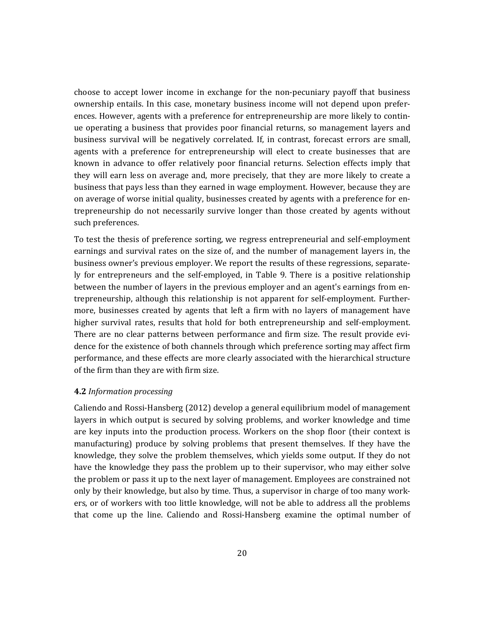choose to accept lower income in exchange for the non-pecuniary payoff that business ownership entails. In this case, monetary business income will not depend upon preferences. However, agents with a preference for entrepreneurship are more likely to continue operating a business that provides poor financial returns, so management layers and business survival will be negatively correlated. If, in contrast, forecast errors are small, agents with a preference for entrepreneurship will elect to create businesses that are known in advance to offer relatively poor financial returns. Selection effects imply that they will earn less on average and, more precisely, that they are more likely to create a business that pays less than they earned in wage employment. However, because they are on average of worse initial quality, businesses created by agents with a preference for entrepreneurship do not necessarily survive longer than those created by agents without such preferences.

To test the thesis of preference sorting, we regress entrepreneurial and self-employment earnings and survival rates on the size of, and the number of management layers in, the business owner's previous employer. We report the results of these regressions, separately for entrepreneurs and the self-employed, in Table 9. There is a positive relationship between the number of layers in the previous employer and an agent's earnings from entrepreneurship, although this relationship is not apparent for self-employment. Furthermore, businesses created by agents that left a firm with no layers of management have higher survival rates, results that hold for both entrepreneurship and self-employment. There are no clear patterns between performance and firm size. The result provide evidence for the existence of both channels through which preference sorting may affect firm performance, and these effects are more clearly associated with the hierarchical structure of the firm than they are with firm size.

## **4.2** *Information processing*

Caliendo and Rossi-Hansberg (2012) develop a general equilibrium model of management layers in which output is secured by solving problems, and worker knowledge and time are key inputs into the production process. Workers on the shop floor (their context is manufacturing) produce by solving problems that present themselves. If they have the knowledge, they solve the problem themselves, which yields some output. If they do not have the knowledge they pass the problem up to their supervisor, who may either solve the problem or pass it up to the next layer of management. Employees are constrained not only by their knowledge, but also by time. Thus, a supervisor in charge of too many workers, or of workers with too little knowledge, will not be able to address all the problems that come up the line. Caliendo and Rossi-Hansberg examine the optimal number of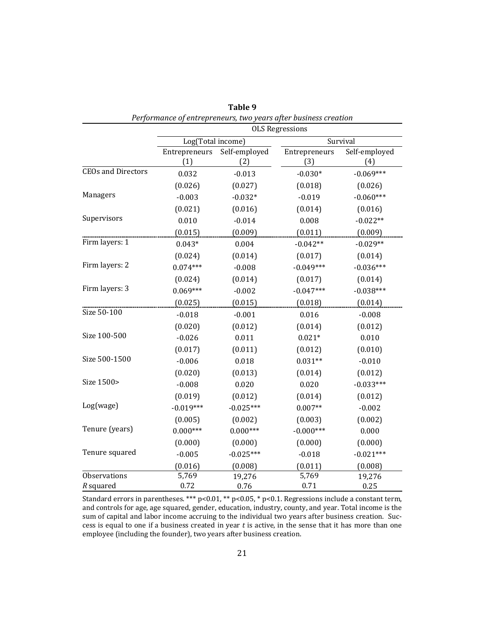|                           | Performance of entrepreneurs, two years after business creation<br><b>OLS Regressions</b> |                      |                      |                      |  |  |  |
|---------------------------|-------------------------------------------------------------------------------------------|----------------------|----------------------|----------------------|--|--|--|
|                           | Log(Total income)                                                                         |                      |                      | Survival             |  |  |  |
|                           | Entrepreneurs<br>(1)                                                                      | Self-employed<br>(2) | Entrepreneurs<br>(3) | Self-employed<br>(4) |  |  |  |
| <b>CEOs and Directors</b> | 0.032                                                                                     | $-0.013$             | $-0.030*$            | $-0.069***$          |  |  |  |
|                           | (0.026)                                                                                   | (0.027)              | (0.018)              | (0.026)              |  |  |  |
| Managers                  | $-0.003$                                                                                  | $-0.032*$            | $-0.019$             | $-0.060***$          |  |  |  |
|                           | (0.021)                                                                                   | (0.016)              | (0.014)              | (0.016)              |  |  |  |
| Supervisors               | 0.010                                                                                     | $-0.014$             | 0.008                | $-0.022**$           |  |  |  |
|                           | (0.015)                                                                                   | (0.009)              | (0.011)              | (0.009)              |  |  |  |
| Firm layers: 1            | $0.043*$                                                                                  | 0.004                | $-0.042**$           | $-0.029**$           |  |  |  |
|                           | (0.024)                                                                                   | (0.014)              | (0.017)              | (0.014)              |  |  |  |
| Firm layers: 2            | $0.074***$                                                                                | $-0.008$             | $-0.049***$          | $-0.036***$          |  |  |  |
|                           | (0.024)                                                                                   | (0.014)              | (0.017)              | (0.014)              |  |  |  |
| Firm layers: 3            | $0.069***$                                                                                | $-0.002$             | $-0.047***$          | $-0.038***$          |  |  |  |
|                           | (0.025)                                                                                   | (0.015)              | (0.018)              | (0.014)              |  |  |  |
| Size 50-100               | $-0.018$                                                                                  | $-0.001$             | 0.016                | $-0.008$             |  |  |  |
|                           | (0.020)                                                                                   | (0.012)              | (0.014)              | (0.012)              |  |  |  |
| Size 100-500              | $-0.026$                                                                                  | 0.011                | $0.021*$             | 0.010                |  |  |  |
|                           | (0.017)                                                                                   | (0.011)              | (0.012)              | (0.010)              |  |  |  |
| Size 500-1500             | $-0.006$                                                                                  | 0.018                | $0.031**$            | $-0.010$             |  |  |  |
|                           | (0.020)                                                                                   | (0.013)              | (0.014)              | (0.012)              |  |  |  |
| Size 1500>                | $-0.008$                                                                                  | 0.020                | 0.020                | $-0.033***$          |  |  |  |
|                           | (0.019)                                                                                   | (0.012)              | (0.014)              | (0.012)              |  |  |  |
| Log(wage)                 | $-0.019***$                                                                               | $-0.025***$          | $0.007**$            | $-0.002$             |  |  |  |
|                           | (0.005)                                                                                   | (0.002)              | (0.003)              | (0.002)              |  |  |  |
| Tenure (years)            | $0.000***$                                                                                | $0.000***$           | $-0.000***$          | 0.000                |  |  |  |
|                           | (0.000)                                                                                   | (0.000)              | (0.000)              | (0.000)              |  |  |  |
| Tenure squared            | $-0.005$                                                                                  | $-0.025***$          | $-0.018$             | $-0.021***$          |  |  |  |
|                           | (0.016)                                                                                   | (0.008)              | (0.011)              | (0.008)              |  |  |  |
| Observations              | 5,769                                                                                     | 19,276               | 5,769                | 19,276               |  |  |  |
| R squared                 | 0.72                                                                                      | 0.76                 | 0.71                 | 0.25                 |  |  |  |

**Table 9**

Standard errors in parentheses. \*\*\*  $p<0.01$ , \*\*  $p<0.05$ , \*  $p<0.1$ . Regressions include a constant term, and controls for age, age squared, gender, education, industry, county, and year. Total income is the sum of capital and labor income accruing to the individual two years after business creation. Success is equal to one if a business created in year  $t$  is active, in the sense that it has more than one employee (including the founder), two years after business creation.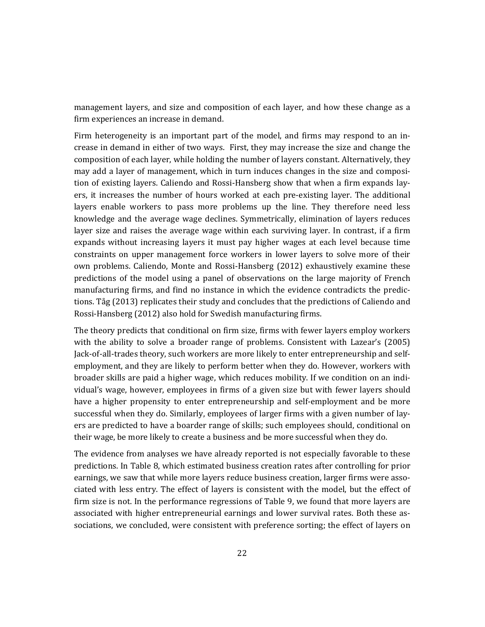management layers, and size and composition of each layer, and how these change as a firm experiences an increase in demand.

Firm heterogeneity is an important part of the model, and firms may respond to an increase in demand in either of two ways. First, they may increase the size and change the composition of each layer, while holding the number of layers constant. Alternatively, they may add a layer of management, which in turn induces changes in the size and composition of existing layers. Caliendo and Rossi-Hansberg show that when a firm expands layers, it increases the number of hours worked at each pre-existing layer. The additional layers enable workers to pass more problems up the line. They therefore need less knowledge and the average wage declines. Symmetrically, elimination of layers reduces layer size and raises the average wage within each surviving layer. In contrast, if a firm expands without increasing layers it must pay higher wages at each level because time constraints on upper management force workers in lower layers to solve more of their own problems. Caliendo, Monte and Rossi-Hansberg (2012) exhaustively examine these predictions of the model using a panel of observations on the large majority of French manufacturing firms, and find no instance in which the evidence contradicts the predictions. Tåg (2013) replicates their study and concludes that the predictions of Caliendo and Rossi-Hansberg (2012) also hold for Swedish manufacturing firms.

The theory predicts that conditional on firm size, firms with fewer layers employ workers with the ability to solve a broader range of problems. Consistent with Lazear's (2005) Jack-of-all-trades theory, such workers are more likely to enter entrepreneurship and selfemployment, and they are likely to perform better when they do. However, workers with broader skills are paid a higher wage, which reduces mobility. If we condition on an individual's wage, however, employees in firms of a given size but with fewer layers should have a higher propensity to enter entrepreneurship and self-employment and be more successful when they do. Similarly, employees of larger firms with a given number of layers are predicted to have a boarder range of skills; such employees should, conditional on their wage, be more likely to create a business and be more successful when they do.

The evidence from analyses we have already reported is not especially favorable to these predictions. In Table 8, which estimated business creation rates after controlling for prior earnings, we saw that while more layers reduce business creation, larger firms were associated with less entry. The effect of layers is consistent with the model, but the effect of firm size is not. In the performance regressions of Table 9, we found that more layers are associated with higher entrepreneurial earnings and lower survival rates. Both these associations, we concluded, were consistent with preference sorting; the effect of layers on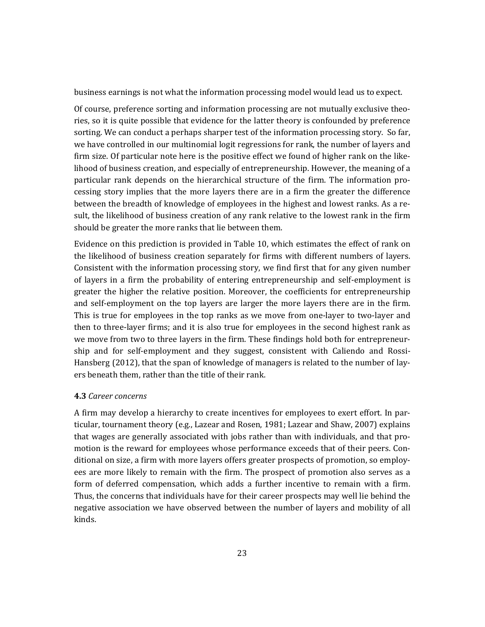business earnings is not what the information processing model would lead us to expect.

Of course, preference sorting and information processing are not mutually exclusive theories, so it is quite possible that evidence for the latter theory is confounded by preference sorting. We can conduct a perhaps sharper test of the information processing story. So far, we have controlled in our multinomial logit regressions for rank, the number of layers and firm size. Of particular note here is the positive effect we found of higher rank on the likelihood of business creation, and especially of entrepreneurship. However, the meaning of a particular rank depends on the hierarchical structure of the firm. The information processing story implies that the more layers there are in a firm the greater the difference between the breadth of knowledge of employees in the highest and lowest ranks. As a result, the likelihood of business creation of any rank relative to the lowest rank in the firm should be greater the more ranks that lie between them.

Evidence on this prediction is provided in Table 10, which estimates the effect of rank on the likelihood of business creation separately for firms with different numbers of layers. Consistent with the information processing story, we find first that for any given number of layers in a firm the probability of entering entrepreneurship and self-employment is greater the higher the relative position. Moreover, the coefficients for entrepreneurship and self-employment on the top layers are larger the more layers there are in the firm. This is true for employees in the top ranks as we move from one-layer to two-layer and then to three-layer firms; and it is also true for employees in the second highest rank as we move from two to three layers in the firm. These findings hold both for entrepreneurship and for self-employment and they suggest, consistent with Caliendo and Rossi-Hansberg  $(2012)$ , that the span of knowledge of managers is related to the number of layers beneath them, rather than the title of their rank.

#### **4.3** *Career concerns*

A firm may develop a hierarchy to create incentives for employees to exert effort. In particular, tournament theory (e.g., Lazear and Rosen, 1981; Lazear and Shaw, 2007) explains that wages are generally associated with jobs rather than with individuals, and that promotion is the reward for employees whose performance exceeds that of their peers. Conditional on size, a firm with more layers offers greater prospects of promotion, so employees are more likely to remain with the firm. The prospect of promotion also serves as a form of deferred compensation, which adds a further incentive to remain with a firm. Thus, the concerns that individuals have for their career prospects may well lie behind the negative association we have observed between the number of layers and mobility of all kinds.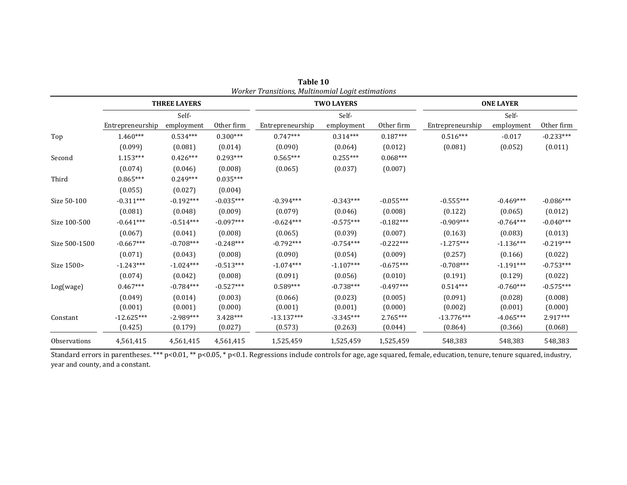|               |                  |                     |             | worker Transitions, Mattinomial Logit estimations |                   |             |                  |                  |             |
|---------------|------------------|---------------------|-------------|---------------------------------------------------|-------------------|-------------|------------------|------------------|-------------|
|               |                  | <b>THREE LAYERS</b> |             |                                                   | <b>TWO LAYERS</b> |             |                  | <b>ONE LAYER</b> |             |
|               |                  | Self-               |             |                                                   | Self-             |             |                  | Self-            |             |
|               | Entrepreneurship | employment          | Other firm  | Entrepreneurship                                  | employment        | Other firm  | Entrepreneurship | employment       | Other firm  |
| Top           | $1.460***$       | $0.534***$          | $0.300***$  | $0.747***$                                        | $0.314***$        | $0.187***$  | $0.516***$       | $-0.017$         | $-0.233***$ |
|               | (0.099)          | (0.081)             | (0.014)     | (0.090)                                           | (0.064)           | (0.012)     | (0.081)          | (0.052)          | (0.011)     |
| Second        | $1.153***$       | $0.426***$          | $0.293***$  | $0.565***$                                        | $0.255***$        | $0.068***$  |                  |                  |             |
|               | (0.074)          | (0.046)             | (0.008)     | (0.065)                                           | (0.037)           | (0.007)     |                  |                  |             |
| Third         | $0.865***$       | $0.249***$          | $0.035***$  |                                                   |                   |             |                  |                  |             |
|               | (0.055)          | (0.027)             | (0.004)     |                                                   |                   |             |                  |                  |             |
| Size 50-100   | $-0.311***$      | $-0.192***$         | $-0.035***$ | $-0.394***$                                       | $-0.343***$       | $-0.055***$ | $-0.555***$      | $-0.469***$      | $-0.086***$ |
|               | (0.081)          | (0.048)             | (0.009)     | (0.079)                                           | (0.046)           | (0.008)     | (0.122)          | (0.065)          | (0.012)     |
| Size 100-500  | $-0.641***$      | $-0.514***$         | $-0.097***$ | $-0.624***$                                       | $-0.575***$       | $-0.182***$ | $-0.909***$      | $-0.764***$      | $-0.040***$ |
|               | (0.067)          | (0.041)             | (0.008)     | (0.065)                                           | (0.039)           | (0.007)     | (0.163)          | (0.083)          | (0.013)     |
| Size 500-1500 | $-0.667***$      | $-0.708***$         | $-0.248***$ | $-0.792***$                                       | $-0.754***$       | $-0.222***$ | $-1.275***$      | $-1.136***$      | $-0.219***$ |
|               | (0.071)          | (0.043)             | (0.008)     | (0.090)                                           | (0.054)           | (0.009)     | (0.257)          | (0.166)          | (0.022)     |
| Size 1500>    | $-1.243***$      | $-1.024***$         | $-0.513***$ | $-1.074***$                                       | $-1.107***$       | $-0.675***$ | $-0.708***$      | $-1.191***$      | $-0.753***$ |
|               | (0.074)          | (0.042)             | (0.008)     | (0.091)                                           | (0.056)           | (0.010)     | (0.191)          | (0.129)          | (0.022)     |
| Log(wage)     | $0.467***$       | $-0.784***$         | $-0.527***$ | $0.589***$                                        | $-0.738***$       | $-0.497***$ | $0.514***$       | $-0.760***$      | $-0.575***$ |
|               | (0.049)          | (0.014)             | (0.003)     | (0.066)                                           | (0.023)           | (0.005)     | (0.091)          | (0.028)          | (0.008)     |
|               | (0.001)          | (0.001)             | (0.000)     | (0.001)                                           | (0.001)           | (0.000)     | (0.002)          | (0.001)          | (0.000)     |
| Constant      | $-12.625***$     | $-2.989***$         | $3.428***$  | $-13.137***$                                      | $-3.345***$       | 2.765***    | $-13.776***$     | $-4.065***$      | 2.917***    |
|               | (0.425)          | (0.179)             | (0.027)     | (0.573)                                           | (0.263)           | (0.044)     | (0.864)          | (0.366)          | (0.068)     |
| Observations  | 4,561,415        | 4,561,415           | 4,561,415   | 1,525,459                                         | 1,525,459         | 1,525,459   | 548,383          | 548,383          | 548,383     |

**Table 10** *Worker Transitions, Multinomial Logit estimations*

Standard errors in parentheses. \*\*\*  $p<0.01$ , \*\*  $p<0.05$ , \*  $p<0.1$ . Regressions include controls for age, age squared, female, education, tenure, tenure squared, industry, year and county, and a constant.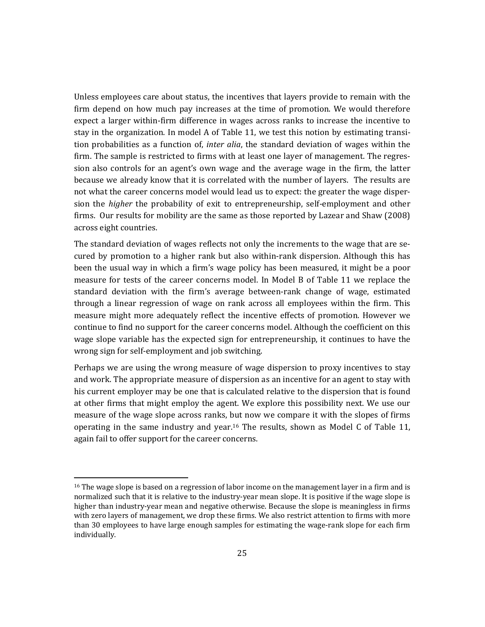Unless employees care about status, the incentives that layers provide to remain with the firm depend on how much pay increases at the time of promotion. We would therefore expect a larger within-firm difference in wages across ranks to increase the incentive to stay in the organization. In model A of Table 11, we test this notion by estimating transition probabilities as a function of, *inter alia*, the standard deviation of wages within the firm. The sample is restricted to firms with at least one layer of management. The regression also controls for an agent's own wage and the average wage in the firm, the latter because we already know that it is correlated with the number of layers. The results are not what the career concerns model would lead us to expect: the greater the wage dispersion the *higher* the probability of exit to entrepreneurship, self-employment and other firms. Our results for mobility are the same as those reported by Lazear and Shaw (2008) across eight countries.

The standard deviation of wages reflects not only the increments to the wage that are secured by promotion to a higher rank but also within-rank dispersion. Although this has been the usual way in which a firm's wage policy has been measured, it might be a poor measure for tests of the career concerns model. In Model B of Table 11 we replace the standard deviation with the firm's average between-rank change of wage, estimated through a linear regression of wage on rank across all employees within the firm. This measure might more adequately reflect the incentive effects of promotion. However we continue to find no support for the career concerns model. Although the coefficient on this wage slope variable has the expected sign for entrepreneurship, it continues to have the wrong sign for self-employment and job switching.

Perhaps we are using the wrong measure of wage dispersion to proxy incentives to stay and work. The appropriate measure of dispersion as an incentive for an agent to stay with his current employer may be one that is calculated relative to the dispersion that is found at other firms that might employ the agent. We explore this possibility next. We use our measure of the wage slope across ranks, but now we compare it with the slopes of firms operating in the same industry and year.<sup>16</sup> The results, shown as Model C of Table 11, again fail to offer support for the career concerns.

 $16$  The wage slope is based on a regression of labor income on the management layer in a firm and is normalized such that it is relative to the industry-year mean slope. It is positive if the wage slope is higher than industry-year mean and negative otherwise. Because the slope is meaningless in firms with zero layers of management, we drop these firms. We also restrict attention to firms with more than 30 employees to have large enough samples for estimating the wage-rank slope for each firm individually.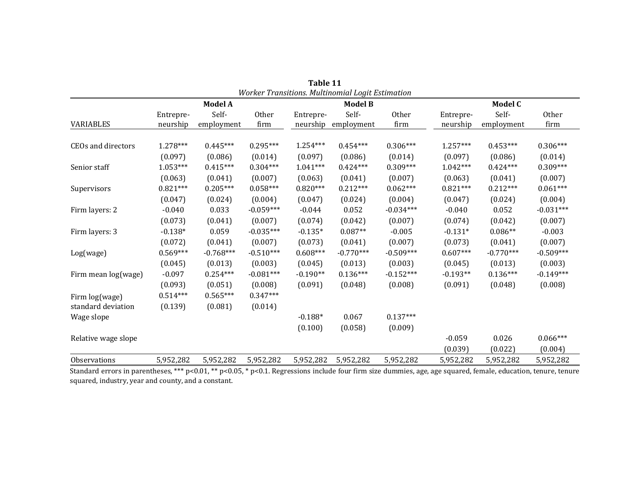|                     |            |                |             |            | Worker Transitions. Multinomial Logit Estimation |              |            |                |              |
|---------------------|------------|----------------|-------------|------------|--------------------------------------------------|--------------|------------|----------------|--------------|
|                     |            | <b>Model A</b> |             |            | <b>Model B</b>                                   |              |            | <b>Model C</b> |              |
|                     | Entrepre-  | Self-          | Other       | Entrepre-  | Self-                                            | <b>Other</b> | Entrepre-  | Self-          | <b>Other</b> |
| <b>VARIABLES</b>    | neurship   | employment     | firm        | neurship   | employment                                       | firm         | neurship   | employment     | firm         |
|                     |            |                |             |            |                                                  |              |            |                |              |
| CEOs and directors  | 1.278***   | $0.445***$     | $0.295***$  | $1.254***$ | $0.454***$                                       | $0.306***$   | $1.257***$ | $0.453***$     | $0.306***$   |
|                     | (0.097)    | (0.086)        | (0.014)     | (0.097)    | (0.086)                                          | (0.014)      | (0.097)    | (0.086)        | (0.014)      |
| Senior staff        | $1.053***$ | $0.415***$     | $0.304***$  | $1.041***$ | $0.424***$                                       | $0.309***$   | $1.042***$ | $0.424***$     | $0.309***$   |
|                     | (0.063)    | (0.041)        | (0.007)     | (0.063)    | (0.041)                                          | (0.007)      | (0.063)    | (0.041)        | (0.007)      |
| Supervisors         | $0.821***$ | $0.205***$     | $0.058***$  | $0.820***$ | $0.212***$                                       | $0.062***$   | $0.821***$ | $0.212***$     | $0.061***$   |
|                     | (0.047)    | (0.024)        | (0.004)     | (0.047)    | (0.024)                                          | (0.004)      | (0.047)    | (0.024)        | (0.004)      |
| Firm layers: 2      | $-0.040$   | 0.033          | $-0.059***$ | $-0.044$   | 0.052                                            | $-0.034***$  | $-0.040$   | 0.052          | $-0.031***$  |
|                     | (0.073)    | (0.041)        | (0.007)     | (0.074)    | (0.042)                                          | (0.007)      | (0.074)    | (0.042)        | (0.007)      |
| Firm layers: 3      | $-0.138*$  | 0.059          | $-0.035***$ | $-0.135*$  | $0.087**$                                        | $-0.005$     | $-0.131*$  | $0.086**$      | $-0.003$     |
|                     | (0.072)    | (0.041)        | (0.007)     | (0.073)    | (0.041)                                          | (0.007)      | (0.073)    | (0.041)        | (0.007)      |
| Log(wage)           | $0.569***$ | $-0.768***$    | $-0.510***$ | $0.608***$ | $-0.770***$                                      | $-0.509***$  | $0.607***$ | $-0.770***$    | $-0.509***$  |
|                     | (0.045)    | (0.013)        | (0.003)     | (0.045)    | (0.013)                                          | (0.003)      | (0.045)    | (0.013)        | (0.003)      |
| Firm mean log(wage) | $-0.097$   | $0.254***$     | $-0.081***$ | $-0.190**$ | $0.136***$                                       | $-0.152***$  | $-0.193**$ | $0.136***$     | $-0.149***$  |
|                     | (0.093)    | (0.051)        | (0.008)     | (0.091)    | (0.048)                                          | (0.008)      | (0.091)    | (0.048)        | (0.008)      |
| Firm log(wage)      | $0.514***$ | $0.565***$     | $0.347***$  |            |                                                  |              |            |                |              |
| standard deviation  | (0.139)    | (0.081)        | (0.014)     |            |                                                  |              |            |                |              |
| Wage slope          |            |                |             | $-0.188*$  | 0.067                                            | $0.137***$   |            |                |              |
|                     |            |                |             | (0.100)    | (0.058)                                          | (0.009)      |            |                |              |
| Relative wage slope |            |                |             |            |                                                  |              | $-0.059$   | 0.026          | $0.066***$   |
|                     |            |                |             |            |                                                  |              | (0.039)    | (0.022)        | (0.004)      |
| Observations        | 5,952,282  | 5,952,282      | 5,952,282   | 5,952,282  | 5,952,282                                        | 5,952,282    | 5,952,282  | 5,952,282      | 5,952,282    |

**Table 11**

Standard errors in parentheses, \*\*\*  $p<0.01$ , \*\*  $p<0.05$ , \*  $p<0.1$ . Regressions include four firm size dummies, age, age squared, female, education, tenure, tenure squared, industry, year and county, and a constant.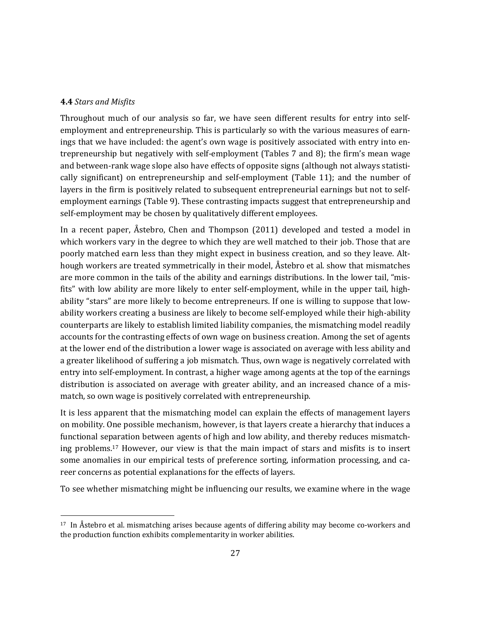#### **4.4** *Stars and Misfits*

 

Throughout much of our analysis so far, we have seen different results for entry into selfemployment and entrepreneurship. This is particularly so with the various measures of earnings that we have included: the agent's own wage is positively associated with entry into entrepreneurship but negatively with self-employment (Tables  $7$  and  $8$ ); the firm's mean wage and between-rank wage slope also have effects of opposite signs (although not always statistically significant) on entrepreneurship and self-employment (Table 11); and the number of layers in the firm is positively related to subsequent entrepreneurial earnings but not to selfemployment earnings (Table 9). These contrasting impacts suggest that entrepreneurship and self-employment may be chosen by qualitatively different employees.

In a recent paper, Åstebro, Chen and Thompson  $(2011)$  developed and tested a model in which workers vary in the degree to which they are well matched to their job. Those that are poorly matched earn less than they might expect in business creation, and so they leave. Although workers are treated symmetrically in their model, Åstebro et al. show that mismatches are more common in the tails of the ability and earnings distributions. In the lower tail, "misfits" with low ability are more likely to enter self-employment, while in the upper tail, highability "stars" are more likely to become entrepreneurs. If one is willing to suppose that lowability workers creating a business are likely to become self-employed while their high-ability counterparts are likely to establish limited liability companies, the mismatching model readily accounts for the contrasting effects of own wage on business creation. Among the set of agents at the lower end of the distribution a lower wage is associated on average with less ability and a greater likelihood of suffering a job mismatch. Thus, own wage is negatively correlated with entry into self-employment. In contrast, a higher wage among agents at the top of the earnings distribution is associated on average with greater ability, and an increased chance of a mismatch, so own wage is positively correlated with entrepreneurship.

It is less apparent that the mismatching model can explain the effects of management layers on mobility. One possible mechanism, however, is that layers create a hierarchy that induces a functional separation between agents of high and low ability, and thereby reduces mismatching problems.<sup>17</sup> However, our view is that the main impact of stars and misfits is to insert some anomalies in our empirical tests of preference sorting, information processing, and career concerns as potential explanations for the effects of layers.

To see whether mismatching might be influencing our results, we examine where in the wage

 $17$  In Åstebro et al. mismatching arises because agents of differing ability may become co-workers and the production function exhibits complementarity in worker abilities.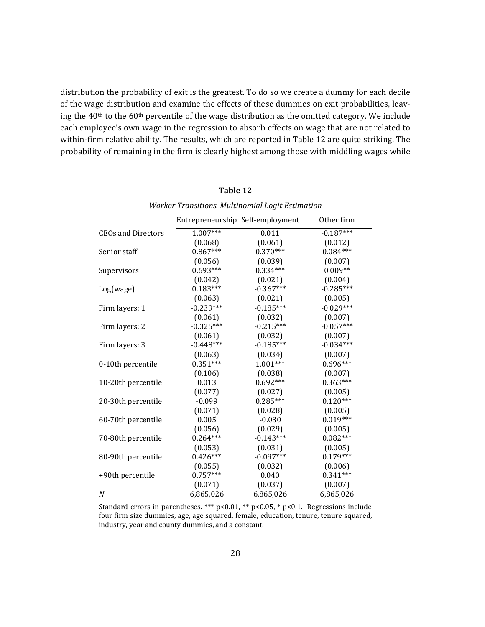distribution the probability of exit is the greatest. To do so we create a dummy for each decile of the wage distribution and examine the effects of these dummies on exit probabilities, leaving the  $40<sup>th</sup>$  to the  $60<sup>th</sup>$  percentile of the wage distribution as the omitted category. We include each employee's own wage in the regression to absorb effects on wage that are not related to within-firm relative ability. The results, which are reported in Table 12 are quite striking. The probability of remaining in the firm is clearly highest among those with middling wages while

| Worker Transitions. Multinomial Logit Estimation |                                  |             |             |  |  |  |  |
|--------------------------------------------------|----------------------------------|-------------|-------------|--|--|--|--|
|                                                  | Entrepreneurship Self-employment |             | Other firm  |  |  |  |  |
| <b>CEOs and Directors</b>                        | $1.007***$                       | 0.011       | $-0.187***$ |  |  |  |  |
|                                                  | (0.068)                          | (0.061)     | (0.012)     |  |  |  |  |
| Senior staff                                     | $0.867***$                       | $0.370***$  | $0.084***$  |  |  |  |  |
|                                                  | (0.056)                          | (0.039)     | (0.007)     |  |  |  |  |
| Supervisors                                      | $0.693***$                       | $0.334***$  | $0.009**$   |  |  |  |  |
|                                                  | (0.042)                          | (0.021)     | (0.004)     |  |  |  |  |
| Log(wage)                                        | $0.183***$                       | $-0.367***$ | $-0.285***$ |  |  |  |  |
|                                                  | (0.063)                          | (0.021)     | (0.005)     |  |  |  |  |
| Firm layers: 1                                   | $-0.239***$                      | $-0.185***$ | $-0.029***$ |  |  |  |  |
|                                                  | (0.061)                          | (0.032)     | (0.007)     |  |  |  |  |
| Firm layers: 2                                   | $-0.325***$                      | $-0.215***$ | $-0.057***$ |  |  |  |  |
|                                                  | (0.061)                          | (0.032)     | (0.007)     |  |  |  |  |
| Firm layers: 3                                   | $-0.448***$                      | $-0.185***$ | $-0.034***$ |  |  |  |  |
|                                                  | (0.063)                          | (0.034)     | (0.007)     |  |  |  |  |
| 0-10th percentile                                | $0.351***$                       | $1.001***$  | $0.696***$  |  |  |  |  |
|                                                  | (0.106)                          | (0.038)     | (0.007)     |  |  |  |  |
| 10-20th percentile                               | 0.013                            | $0.692***$  | $0.363***$  |  |  |  |  |
|                                                  | (0.077)                          | (0.027)     | (0.005)     |  |  |  |  |
| 20-30th percentile                               | $-0.099$                         | $0.285***$  | $0.120***$  |  |  |  |  |
|                                                  | (0.071)                          | (0.028)     | (0.005)     |  |  |  |  |
| 60-70th percentile                               | 0.005                            | $-0.030$    | $0.019***$  |  |  |  |  |
|                                                  | (0.056)                          | (0.029)     | (0.005)     |  |  |  |  |
| 70-80th percentile                               | $0.264***$                       | $-0.143***$ | $0.082***$  |  |  |  |  |
|                                                  | (0.053)                          | (0.031)     | (0.005)     |  |  |  |  |
| 80-90th percentile                               | $0.426***$                       | $-0.097***$ | $0.179***$  |  |  |  |  |
|                                                  | (0.055)                          | (0.032)     | (0.006)     |  |  |  |  |
| +90th percentile                                 | $0.757***$                       | 0.040       | $0.341***$  |  |  |  |  |
|                                                  | (0.071)                          | (0.037)     | (0.007)     |  |  |  |  |
| $\cal N$                                         | 6,865,026                        | 6,865,026   | 6,865,026   |  |  |  |  |

**Table 12**

28

Standard errors in parentheses. \*\*\*  $p<0.01$ , \*\*  $p<0.05$ , \*  $p<0.1$ . Regressions include four firm size dummies, age, age squared, female, education, tenure, tenure squared, industry, year and county dummies, and a constant.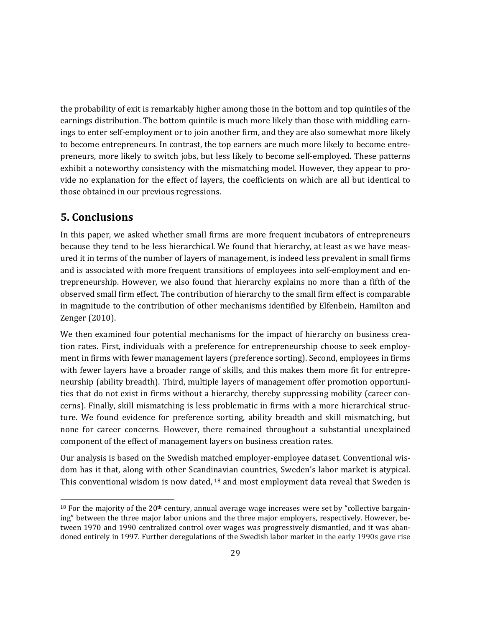the probability of exit is remarkably higher among those in the bottom and top quintiles of the earnings distribution. The bottom quintile is much more likely than those with middling earnings to enter self-employment or to join another firm, and they are also somewhat more likely to become entrepreneurs. In contrast, the top earners are much more likely to become entrepreneurs, more likely to switch jobs, but less likely to become self-employed. These patterns exhibit a noteworthy consistency with the mismatching model. However, they appear to provide no explanation for the effect of layers, the coefficients on which are all but identical to those obtained in our previous regressions.

# **5. Conclusions**

 

In this paper, we asked whether small firms are more frequent incubators of entrepreneurs because they tend to be less hierarchical. We found that hierarchy, at least as we have measured it in terms of the number of layers of management, is indeed less prevalent in small firms and is associated with more frequent transitions of employees into self-employment and entrepreneurship. However, we also found that hierarchy explains no more than a fifth of the observed small firm effect. The contribution of hierarchy to the small firm effect is comparable in magnitude to the contribution of other mechanisms identified by Elfenbein, Hamilton and Zenger (2010).

We then examined four potential mechanisms for the impact of hierarchy on business creation rates. First, individuals with a preference for entrepreneurship choose to seek employment in firms with fewer management layers (preference sorting). Second, employees in firms with fewer layers have a broader range of skills, and this makes them more fit for entrepreneurship (ability breadth). Third, multiple layers of management offer promotion opportunities that do not exist in firms without a hierarchy, thereby suppressing mobility (career concerns). Finally, skill mismatching is less problematic in firms with a more hierarchical structure. We found evidence for preference sorting, ability breadth and skill mismatching, but none for career concerns. However, there remained throughout a substantial unexplained component of the effect of management layers on business creation rates.

Our analysis is based on the Swedish matched employer-employee dataset. Conventional wisdom has it that, along with other Scandinavian countries, Sweden's labor market is atypical. This conventional wisdom is now dated,  $18$  and most employment data reveal that Sweden is

 $18$  For the majority of the 20<sup>th</sup> century, annual average wage increases were set by "collective bargaining" between the three major labor unions and the three major employers, respectively. However, between 1970 and 1990 centralized control over wages was progressively dismantled, and it was abandoned entirely in 1997. Further deregulations of the Swedish labor market in the early 1990s gave rise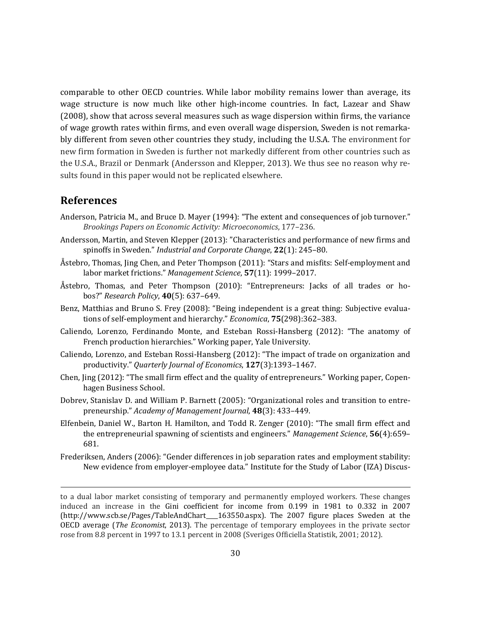comparable to other OECD countries. While labor mobility remains lower than average, its wage structure is now much like other high-income countries. In fact, Lazear and Shaw (2008), show that across several measures such as wage dispersion within firms, the variance of wage growth rates within firms, and even overall wage dispersion, Sweden is not remarkably different from seven other countries they study, including the U.S.A. The environment for new firm formation in Sweden is further not markedly different from other countries such as the U.S.A., Brazil or Denmark (Andersson and Klepper, 2013). We thus see no reason why results found in this paper would not be replicated elsewhere.

## **References**

- Anderson, Patricia M., and Bruce D. Mayer (1994): "The extent and consequences of job turnover." *Brookings Papers on Economic Activity: Microeconomics*, 177–236.
- Andersson, Martin, and Steven Klepper (2013): "Characteristics and performance of new firms and spinoffs in Sweden." *Industrial and Corporate Change*, 22(1): 245–80.
- Åstebro, Thomas, Jing Chen, and Peter Thompson  $(2011)$ : "Stars and misfits: Self-employment and labor market frictions." Management Science, 57(11): 1999–2017.
- Åstebro, Thomas, and Peter Thompson (2010): "Entrepreneurs: Jacks of all trades or hobos?" *Research Policy*, **40**(5): 637–649.
- Benz, Matthias and Bruno S. Frey (2008): "Being independent is a great thing: Subjective evaluations of self-employment and hierarchy." *Economica*, **75**(298):362–383.
- Caliendo, Lorenzo, Ferdinando Monte, and Esteban Rossi-Hansberg (2012): "The anatomy of French production hierarchies." Working paper, Yale University.
- Caliendo, Lorenzo, and Esteban Rossi-Hansberg  $(2012)$ : "The impact of trade on organization and productivity." *Quarterly Journal of Economics*, **127**(3):1393–1467.
- Chen, Jing (2012): "The small firm effect and the quality of entrepreneurs." Working paper, Copenhagen Business School.
- Dobrev, Stanislav D. and William P. Barnett (2005): "Organizational roles and transition to entrepreneurship." *Academy of Management Journal*, **48**(3): 433–449.
- Elfenbein, Daniel W., Barton H. Hamilton, and Todd R. Zenger (2010): "The small firm effect and the entrepreneurial spawning of scientists and engineers." Management Science, 56(4):659– 681.
- Frederiksen, Anders (2006): "Gender differences in job separation rates and employment stability: New evidence from employer-employee data." Institute for the Study of Labor (IZA) Discus-

<u> 1989 - Andrea Santa Andrea Andrea Andrea Andrea Andrea Andrea Andrea Andrea Andrea Andrea Andrea Andrea Andr</u>

to a dual labor market consisting of temporary and permanently employed workers. These changes induced an increase in the Gini coefficient for income from 0.199 in 1981 to 0.332 in 2007 (http://www.scb.se/Pages/TableAndChart 163550.aspx). The 2007 figure places Sweden at the OECD average (*The Economist*, 2013). The percentage of temporary employees in the private sector rose from 8.8 percent in 1997 to 13.1 percent in 2008 (Sveriges Officiella Statistik, 2001; 2012).